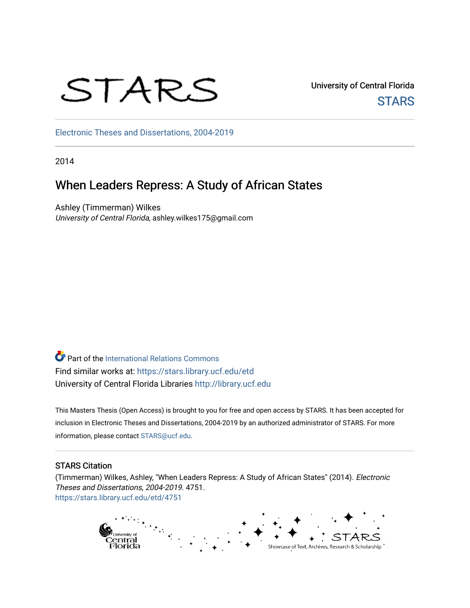# STARS

University of Central Florida **STARS** 

[Electronic Theses and Dissertations, 2004-2019](https://stars.library.ucf.edu/etd) 

2014

# When Leaders Repress: A Study of African States

Ashley (Timmerman) Wilkes University of Central Florida, ashley.wilkes175@gmail.com

**Part of the International Relations Commons** Find similar works at: <https://stars.library.ucf.edu/etd> University of Central Florida Libraries [http://library.ucf.edu](http://library.ucf.edu/) 

This Masters Thesis (Open Access) is brought to you for free and open access by STARS. It has been accepted for inclusion in Electronic Theses and Dissertations, 2004-2019 by an authorized administrator of STARS. For more information, please contact [STARS@ucf.edu.](mailto:STARS@ucf.edu)

#### STARS Citation

(Timmerman) Wilkes, Ashley, "When Leaders Repress: A Study of African States" (2014). Electronic Theses and Dissertations, 2004-2019. 4751. [https://stars.library.ucf.edu/etd/4751](https://stars.library.ucf.edu/etd/4751?utm_source=stars.library.ucf.edu%2Fetd%2F4751&utm_medium=PDF&utm_campaign=PDFCoverPages) 

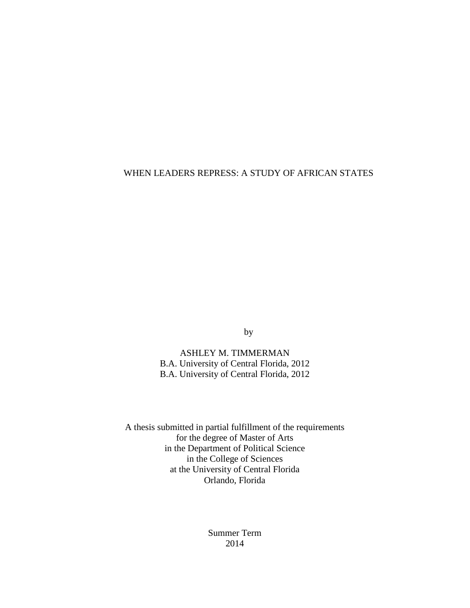## WHEN LEADERS REPRESS: A STUDY OF AFRICAN STATES

by

ASHLEY M. TIMMERMAN B.A. University of Central Florida, 2012 B.A. University of Central Florida, 2012

A thesis submitted in partial fulfillment of the requirements for the degree of Master of Arts in the Department of Political Science in the College of Sciences at the University of Central Florida Orlando, Florida

> Summer Term 2014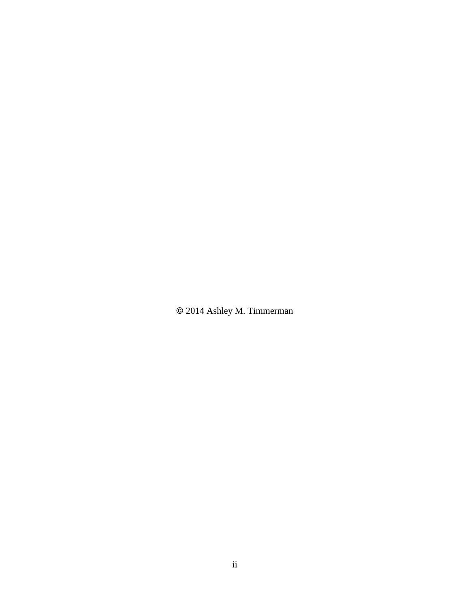**©** 2014 Ashley M. Timmerman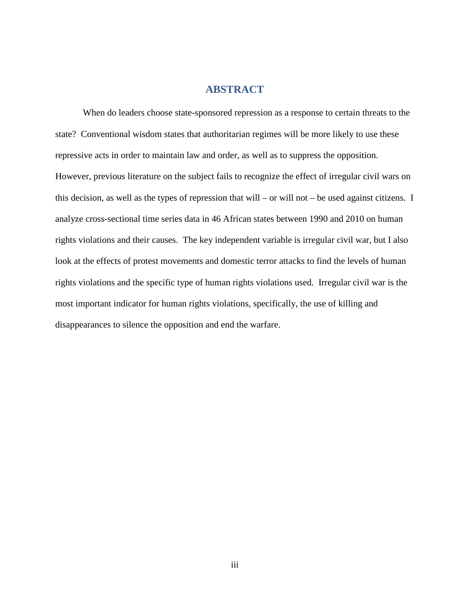## **ABSTRACT**

When do leaders choose state-sponsored repression as a response to certain threats to the state? Conventional wisdom states that authoritarian regimes will be more likely to use these repressive acts in order to maintain law and order, as well as to suppress the opposition. However, previous literature on the subject fails to recognize the effect of irregular civil wars on this decision, as well as the types of repression that will – or will not – be used against citizens. I analyze cross-sectional time series data in 46 African states between 1990 and 2010 on human rights violations and their causes. The key independent variable is irregular civil war, but I also look at the effects of protest movements and domestic terror attacks to find the levels of human rights violations and the specific type of human rights violations used. Irregular civil war is the most important indicator for human rights violations, specifically, the use of killing and disappearances to silence the opposition and end the warfare.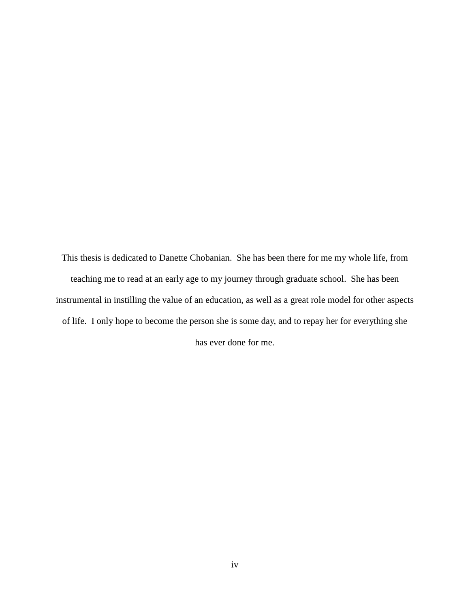This thesis is dedicated to Danette Chobanian. She has been there for me my whole life, from teaching me to read at an early age to my journey through graduate school. She has been instrumental in instilling the value of an education, as well as a great role model for other aspects of life. I only hope to become the person she is some day, and to repay her for everything she has ever done for me.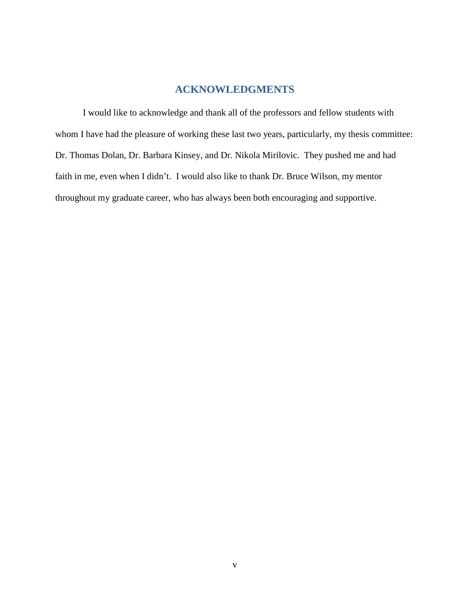# **ACKNOWLEDGMENTS**

I would like to acknowledge and thank all of the professors and fellow students with whom I have had the pleasure of working these last two years, particularly, my thesis committee: Dr. Thomas Dolan, Dr. Barbara Kinsey, and Dr. Nikola Mirilovic. They pushed me and had faith in me, even when I didn't. I would also like to thank Dr. Bruce Wilson, my mentor throughout my graduate career, who has always been both encouraging and supportive.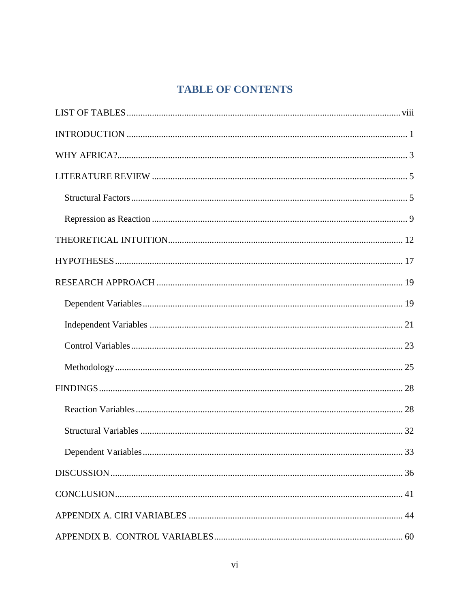# **TABLE OF CONTENTS**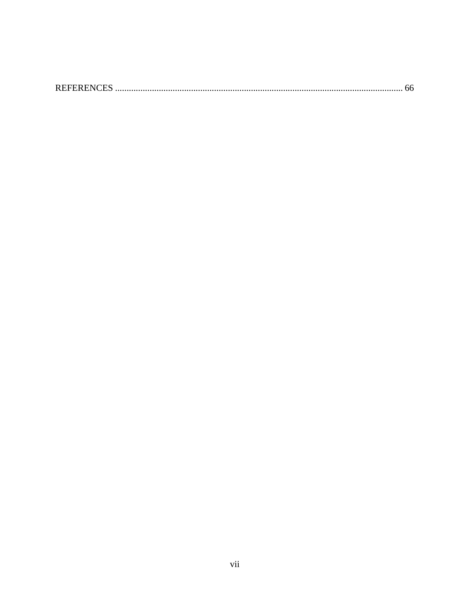|--|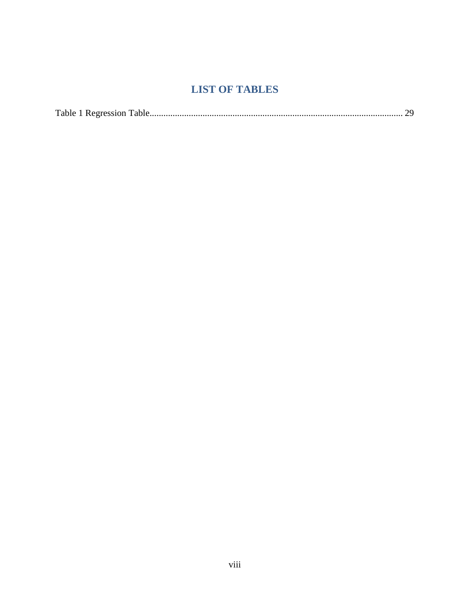# **LIST OF TABLES**

<span id="page-8-0"></span>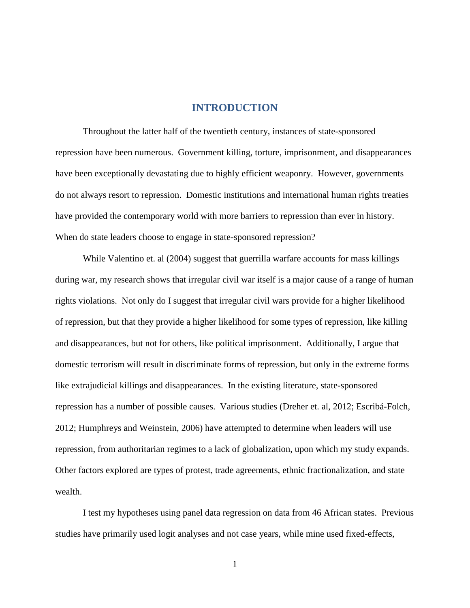#### **INTRODUCTION**

<span id="page-9-0"></span>Throughout the latter half of the twentieth century, instances of state-sponsored repression have been numerous. Government killing, torture, imprisonment, and disappearances have been exceptionally devastating due to highly efficient weaponry. However, governments do not always resort to repression. Domestic institutions and international human rights treaties have provided the contemporary world with more barriers to repression than ever in history. When do state leaders choose to engage in state-sponsored repression?

While Valentino et. al (2004) suggest that guerrilla warfare accounts for mass killings during war, my research shows that irregular civil war itself is a major cause of a range of human rights violations. Not only do I suggest that irregular civil wars provide for a higher likelihood of repression, but that they provide a higher likelihood for some types of repression, like killing and disappearances, but not for others, like political imprisonment. Additionally, I argue that domestic terrorism will result in discriminate forms of repression, but only in the extreme forms like extrajudicial killings and disappearances. In the existing literature, state-sponsored repression has a number of possible causes. Various studies (Dreher et. al, 2012; Escribá-Folch, 2012; Humphreys and Weinstein, 2006) have attempted to determine when leaders will use repression, from authoritarian regimes to a lack of globalization, upon which my study expands. Other factors explored are types of protest, trade agreements, ethnic fractionalization, and state wealth.

I test my hypotheses using panel data regression on data from 46 African states. Previous studies have primarily used logit analyses and not case years, while mine used fixed-effects,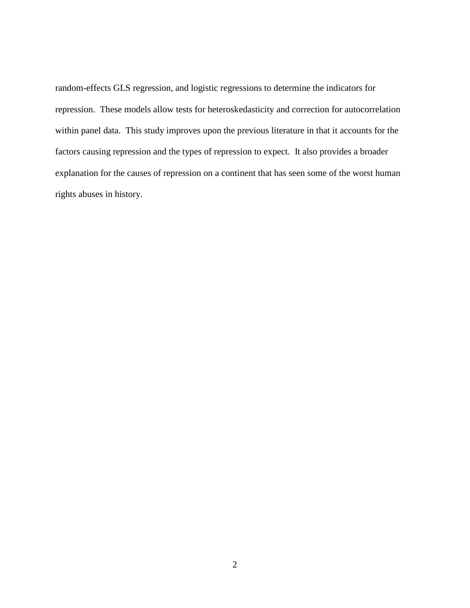random-effects GLS regression, and logistic regressions to determine the indicators for repression. These models allow tests for heteroskedasticity and correction for autocorrelation within panel data. This study improves upon the previous literature in that it accounts for the factors causing repression and the types of repression to expect. It also provides a broader explanation for the causes of repression on a continent that has seen some of the worst human rights abuses in history.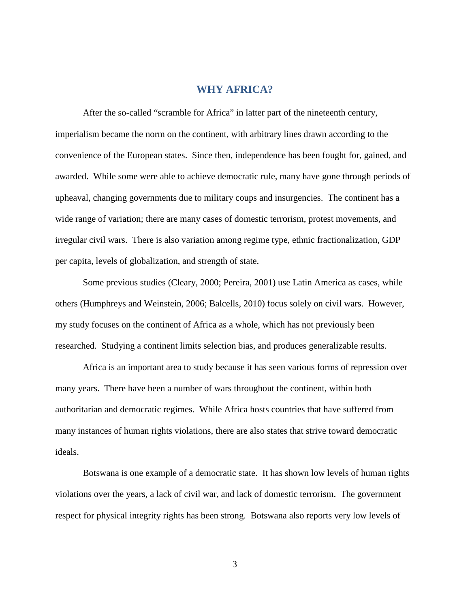## **WHY AFRICA?**

<span id="page-11-0"></span>After the so-called "scramble for Africa" in latter part of the nineteenth century, imperialism became the norm on the continent, with arbitrary lines drawn according to the convenience of the European states. Since then, independence has been fought for, gained, and awarded. While some were able to achieve democratic rule, many have gone through periods of upheaval, changing governments due to military coups and insurgencies. The continent has a wide range of variation; there are many cases of domestic terrorism, protest movements, and irregular civil wars. There is also variation among regime type, ethnic fractionalization, GDP per capita, levels of globalization, and strength of state.

Some previous studies (Cleary, 2000; Pereira, 2001) use Latin America as cases, while others (Humphreys and Weinstein, 2006; Balcells, 2010) focus solely on civil wars. However, my study focuses on the continent of Africa as a whole, which has not previously been researched. Studying a continent limits selection bias, and produces generalizable results.

Africa is an important area to study because it has seen various forms of repression over many years. There have been a number of wars throughout the continent, within both authoritarian and democratic regimes. While Africa hosts countries that have suffered from many instances of human rights violations, there are also states that strive toward democratic ideals.

Botswana is one example of a democratic state. It has shown low levels of human rights violations over the years, a lack of civil war, and lack of domestic terrorism. The government respect for physical integrity rights has been strong. Botswana also reports very low levels of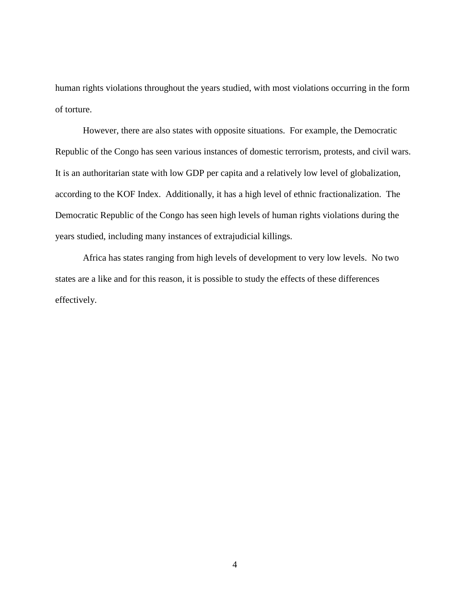human rights violations throughout the years studied, with most violations occurring in the form of torture.

However, there are also states with opposite situations. For example, the Democratic Republic of the Congo has seen various instances of domestic terrorism, protests, and civil wars. It is an authoritarian state with low GDP per capita and a relatively low level of globalization, according to the KOF Index. Additionally, it has a high level of ethnic fractionalization. The Democratic Republic of the Congo has seen high levels of human rights violations during the years studied, including many instances of extrajudicial killings.

Africa has states ranging from high levels of development to very low levels. No two states are a like and for this reason, it is possible to study the effects of these differences effectively.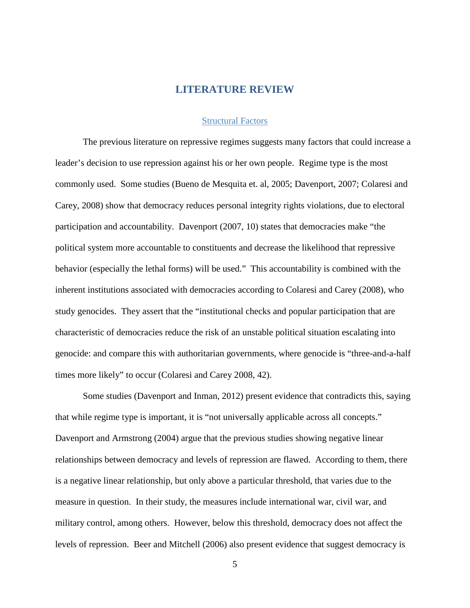## **LITERATURE REVIEW**

#### Structural Factors

<span id="page-13-1"></span><span id="page-13-0"></span>The previous literature on repressive regimes suggests many factors that could increase a leader's decision to use repression against his or her own people. Regime type is the most commonly used. Some studies (Bueno de Mesquita et. al, 2005; Davenport, 2007; Colaresi and Carey, 2008) show that democracy reduces personal integrity rights violations, due to electoral participation and accountability. Davenport (2007, 10) states that democracies make "the political system more accountable to constituents and decrease the likelihood that repressive behavior (especially the lethal forms) will be used." This accountability is combined with the inherent institutions associated with democracies according to Colaresi and Carey (2008), who study genocides. They assert that the "institutional checks and popular participation that are characteristic of democracies reduce the risk of an unstable political situation escalating into genocide: and compare this with authoritarian governments, where genocide is "three-and-a-half times more likely" to occur (Colaresi and Carey 2008, 42).

Some studies (Davenport and Inman, 2012) present evidence that contradicts this, saying that while regime type is important, it is "not universally applicable across all concepts." Davenport and Armstrong (2004) argue that the previous studies showing negative linear relationships between democracy and levels of repression are flawed. According to them, there is a negative linear relationship, but only above a particular threshold, that varies due to the measure in question. In their study, the measures include international war, civil war, and military control, among others. However, below this threshold, democracy does not affect the levels of repression. Beer and Mitchell (2006) also present evidence that suggest democracy is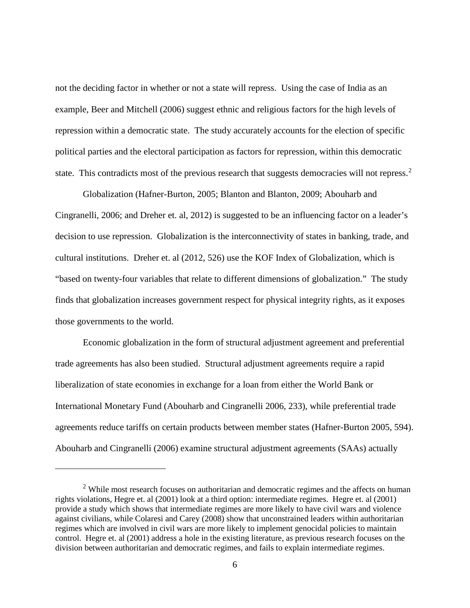not the deciding factor in whether or not a state will repress. Using the case of India as an example, Beer and Mitchell (2006) suggest ethnic and religious factors for the high levels of repression within a democratic state. The study accurately accounts for the election of specific political parties and the electoral participation as factors for repression, within this democratic state. This contradicts most of the previous research that suggests democracies will not repress.<sup>[2](#page-14-0)</sup>

Globalization (Hafner-Burton, 2005; Blanton and Blanton, 2009; Abouharb and Cingranelli, 2006; and Dreher et. al, 2012) is suggested to be an influencing factor on a leader's decision to use repression. Globalization is the interconnectivity of states in banking, trade, and cultural institutions. Dreher et. al (2012, 526) use the KOF Index of Globalization, which is "based on twenty-four variables that relate to different dimensions of globalization." The study finds that globalization increases government respect for physical integrity rights, as it exposes those governments to the world.

Economic globalization in the form of structural adjustment agreement and preferential trade agreements has also been studied. Structural adjustment agreements require a rapid liberalization of state economies in exchange for a loan from either the World Bank or International Monetary Fund (Abouharb and Cingranelli 2006, 233), while preferential trade agreements reduce tariffs on certain products between member states (Hafner-Burton 2005, 594). Abouharb and Cingranelli (2006) examine structural adjustment agreements (SAAs) actually

 $\overline{a}$ 

<span id="page-14-0"></span><sup>&</sup>lt;sup>2</sup> While most research focuses on authoritarian and democratic regimes and the affects on human rights violations, Hegre et. al (2001) look at a third option: intermediate regimes. Hegre et. al (2001) provide a study which shows that intermediate regimes are more likely to have civil wars and violence against civilians, while Colaresi and Carey (2008) show that unconstrained leaders within authoritarian regimes which are involved in civil wars are more likely to implement genocidal policies to maintain control. Hegre et. al (2001) address a hole in the existing literature, as previous research focuses on the division between authoritarian and democratic regimes, and fails to explain intermediate regimes.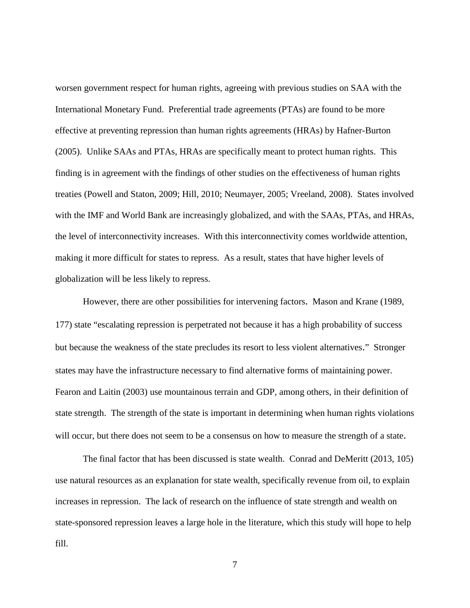worsen government respect for human rights, agreeing with previous studies on SAA with the International Monetary Fund. Preferential trade agreements (PTAs) are found to be more effective at preventing repression than human rights agreements (HRAs) by Hafner-Burton (2005). Unlike SAAs and PTAs, HRAs are specifically meant to protect human rights. This finding is in agreement with the findings of other studies on the effectiveness of human rights treaties (Powell and Staton, 2009; Hill, 2010; Neumayer, 2005; Vreeland, 2008). States involved with the IMF and World Bank are increasingly globalized, and with the SAAs, PTAs, and HRAs, the level of interconnectivity increases. With this interconnectivity comes worldwide attention, making it more difficult for states to repress. As a result, states that have higher levels of globalization will be less likely to repress.

However, there are other possibilities for intervening factors. Mason and Krane (1989, 177) state "escalating repression is perpetrated not because it has a high probability of success but because the weakness of the state precludes its resort to less violent alternatives." Stronger states may have the infrastructure necessary to find alternative forms of maintaining power. Fearon and Laitin (2003) use mountainous terrain and GDP, among others, in their definition of state strength. The strength of the state is important in determining when human rights violations will occur, but there does not seem to be a consensus on how to measure the strength of a state.

The final factor that has been discussed is state wealth. Conrad and DeMeritt (2013, 105) use natural resources as an explanation for state wealth, specifically revenue from oil, to explain increases in repression. The lack of research on the influence of state strength and wealth on state-sponsored repression leaves a large hole in the literature, which this study will hope to help fill.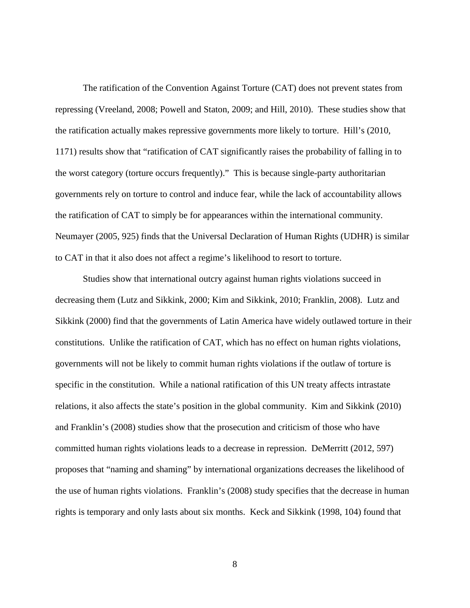The ratification of the Convention Against Torture (CAT) does not prevent states from repressing (Vreeland, 2008; Powell and Staton, 2009; and Hill, 2010). These studies show that the ratification actually makes repressive governments more likely to torture. Hill's (2010, 1171) results show that "ratification of CAT significantly raises the probability of falling in to the worst category (torture occurs frequently)." This is because single-party authoritarian governments rely on torture to control and induce fear, while the lack of accountability allows the ratification of CAT to simply be for appearances within the international community. Neumayer (2005, 925) finds that the Universal Declaration of Human Rights (UDHR) is similar to CAT in that it also does not affect a regime's likelihood to resort to torture.

Studies show that international outcry against human rights violations succeed in decreasing them (Lutz and Sikkink, 2000; Kim and Sikkink, 2010; Franklin, 2008). Lutz and Sikkink (2000) find that the governments of Latin America have widely outlawed torture in their constitutions. Unlike the ratification of CAT, which has no effect on human rights violations, governments will not be likely to commit human rights violations if the outlaw of torture is specific in the constitution. While a national ratification of this UN treaty affects intrastate relations, it also affects the state's position in the global community. Kim and Sikkink (2010) and Franklin's (2008) studies show that the prosecution and criticism of those who have committed human rights violations leads to a decrease in repression. DeMerritt (2012, 597) proposes that "naming and shaming" by international organizations decreases the likelihood of the use of human rights violations. Franklin's (2008) study specifies that the decrease in human rights is temporary and only lasts about six months. Keck and Sikkink (1998, 104) found that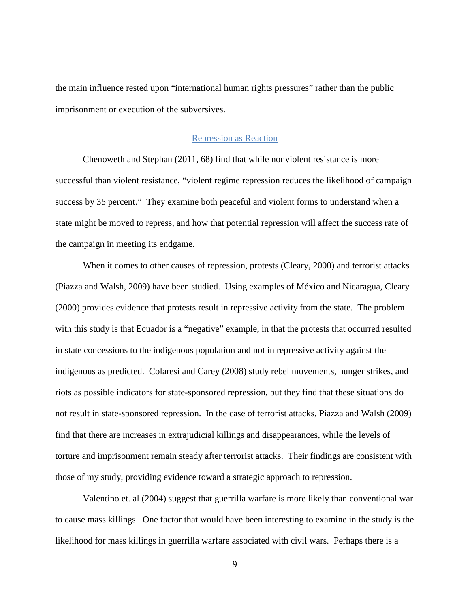the main influence rested upon "international human rights pressures" rather than the public imprisonment or execution of the subversives.

#### Repression as Reaction

<span id="page-17-0"></span>Chenoweth and Stephan (2011, 68) find that while nonviolent resistance is more successful than violent resistance, "violent regime repression reduces the likelihood of campaign success by 35 percent." They examine both peaceful and violent forms to understand when a state might be moved to repress, and how that potential repression will affect the success rate of the campaign in meeting its endgame.

When it comes to other causes of repression, protests (Cleary, 2000) and terrorist attacks (Piazza and Walsh, 2009) have been studied. Using examples of México and Nicaragua, Cleary (2000) provides evidence that protests result in repressive activity from the state. The problem with this study is that Ecuador is a "negative" example, in that the protests that occurred resulted in state concessions to the indigenous population and not in repressive activity against the indigenous as predicted. Colaresi and Carey (2008) study rebel movements, hunger strikes, and riots as possible indicators for state-sponsored repression, but they find that these situations do not result in state-sponsored repression. In the case of terrorist attacks, Piazza and Walsh (2009) find that there are increases in extrajudicial killings and disappearances, while the levels of torture and imprisonment remain steady after terrorist attacks. Their findings are consistent with those of my study, providing evidence toward a strategic approach to repression.

Valentino et. al (2004) suggest that guerrilla warfare is more likely than conventional war to cause mass killings. One factor that would have been interesting to examine in the study is the likelihood for mass killings in guerrilla warfare associated with civil wars. Perhaps there is a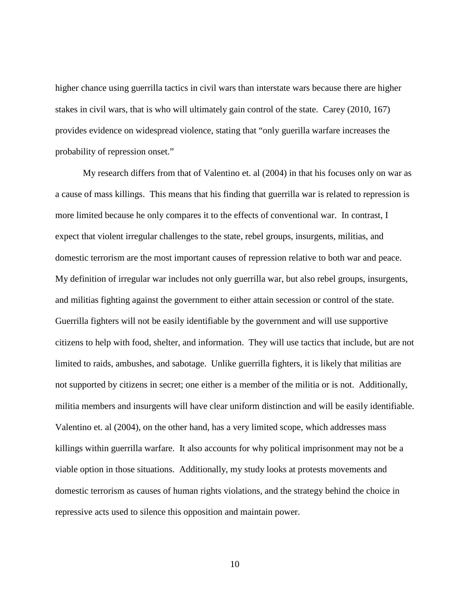higher chance using guerrilla tactics in civil wars than interstate wars because there are higher stakes in civil wars, that is who will ultimately gain control of the state. Carey (2010, 167) provides evidence on widespread violence, stating that "only guerilla warfare increases the probability of repression onset."

My research differs from that of Valentino et. al (2004) in that his focuses only on war as a cause of mass killings. This means that his finding that guerrilla war is related to repression is more limited because he only compares it to the effects of conventional war. In contrast, I expect that violent irregular challenges to the state, rebel groups, insurgents, militias, and domestic terrorism are the most important causes of repression relative to both war and peace. My definition of irregular war includes not only guerrilla war, but also rebel groups, insurgents, and militias fighting against the government to either attain secession or control of the state. Guerrilla fighters will not be easily identifiable by the government and will use supportive citizens to help with food, shelter, and information. They will use tactics that include, but are not limited to raids, ambushes, and sabotage. Unlike guerrilla fighters, it is likely that militias are not supported by citizens in secret; one either is a member of the militia or is not. Additionally, militia members and insurgents will have clear uniform distinction and will be easily identifiable. Valentino et. al (2004), on the other hand, has a very limited scope, which addresses mass killings within guerrilla warfare. It also accounts for why political imprisonment may not be a viable option in those situations. Additionally, my study looks at protests movements and domestic terrorism as causes of human rights violations, and the strategy behind the choice in repressive acts used to silence this opposition and maintain power.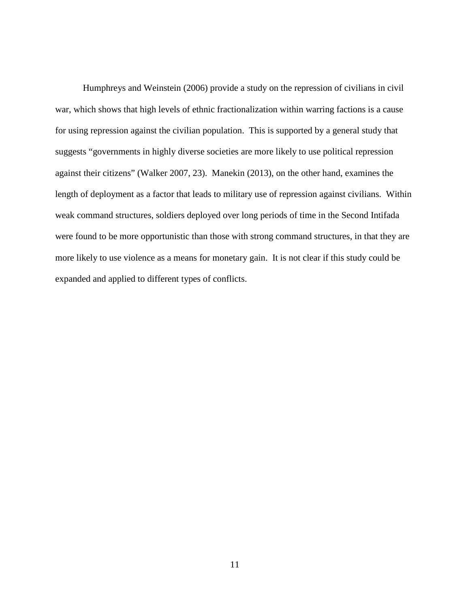Humphreys and Weinstein (2006) provide a study on the repression of civilians in civil war, which shows that high levels of ethnic fractionalization within warring factions is a cause for using repression against the civilian population. This is supported by a general study that suggests "governments in highly diverse societies are more likely to use political repression against their citizens" (Walker 2007, 23). Manekin (2013), on the other hand, examines the length of deployment as a factor that leads to military use of repression against civilians. Within weak command structures, soldiers deployed over long periods of time in the Second Intifada were found to be more opportunistic than those with strong command structures, in that they are more likely to use violence as a means for monetary gain. It is not clear if this study could be expanded and applied to different types of conflicts.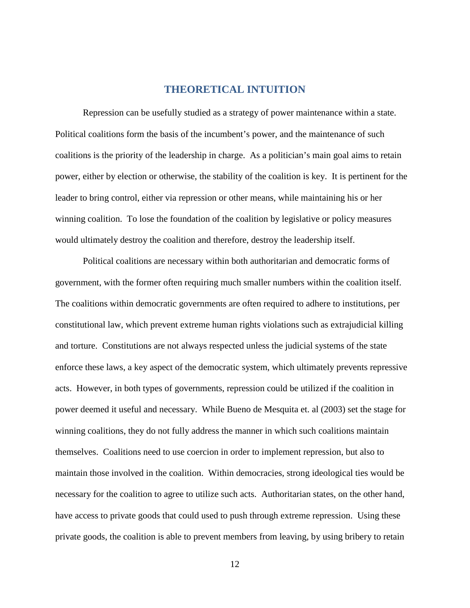# **THEORETICAL INTUITION**

<span id="page-20-0"></span>Repression can be usefully studied as a strategy of power maintenance within a state. Political coalitions form the basis of the incumbent's power, and the maintenance of such coalitions is the priority of the leadership in charge. As a politician's main goal aims to retain power, either by election or otherwise, the stability of the coalition is key. It is pertinent for the leader to bring control, either via repression or other means, while maintaining his or her winning coalition. To lose the foundation of the coalition by legislative or policy measures would ultimately destroy the coalition and therefore, destroy the leadership itself.

Political coalitions are necessary within both authoritarian and democratic forms of government, with the former often requiring much smaller numbers within the coalition itself. The coalitions within democratic governments are often required to adhere to institutions, per constitutional law, which prevent extreme human rights violations such as extrajudicial killing and torture. Constitutions are not always respected unless the judicial systems of the state enforce these laws, a key aspect of the democratic system, which ultimately prevents repressive acts. However, in both types of governments, repression could be utilized if the coalition in power deemed it useful and necessary. While Bueno de Mesquita et. al (2003) set the stage for winning coalitions, they do not fully address the manner in which such coalitions maintain themselves. Coalitions need to use coercion in order to implement repression, but also to maintain those involved in the coalition. Within democracies, strong ideological ties would be necessary for the coalition to agree to utilize such acts. Authoritarian states, on the other hand, have access to private goods that could used to push through extreme repression. Using these private goods, the coalition is able to prevent members from leaving, by using bribery to retain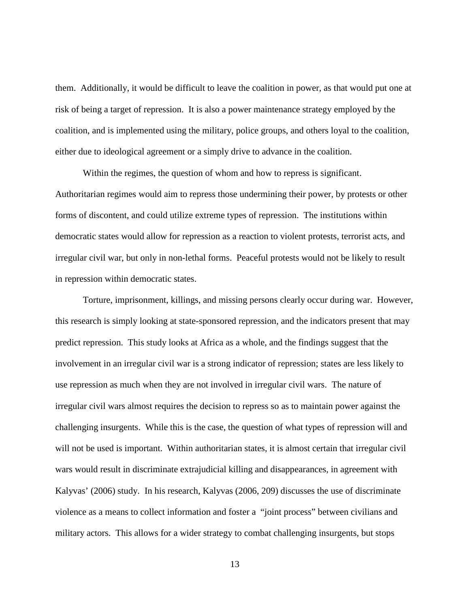them. Additionally, it would be difficult to leave the coalition in power, as that would put one at risk of being a target of repression. It is also a power maintenance strategy employed by the coalition, and is implemented using the military, police groups, and others loyal to the coalition, either due to ideological agreement or a simply drive to advance in the coalition.

Within the regimes, the question of whom and how to repress is significant. Authoritarian regimes would aim to repress those undermining their power, by protests or other forms of discontent, and could utilize extreme types of repression. The institutions within democratic states would allow for repression as a reaction to violent protests, terrorist acts, and irregular civil war, but only in non-lethal forms. Peaceful protests would not be likely to result in repression within democratic states.

Torture, imprisonment, killings, and missing persons clearly occur during war. However, this research is simply looking at state-sponsored repression, and the indicators present that may predict repression. This study looks at Africa as a whole, and the findings suggest that the involvement in an irregular civil war is a strong indicator of repression; states are less likely to use repression as much when they are not involved in irregular civil wars. The nature of irregular civil wars almost requires the decision to repress so as to maintain power against the challenging insurgents. While this is the case, the question of what types of repression will and will not be used is important. Within authoritarian states, it is almost certain that irregular civil wars would result in discriminate extrajudicial killing and disappearances, in agreement with Kalyvas' (2006) study. In his research, Kalyvas (2006, 209) discusses the use of discriminate violence as a means to collect information and foster a "joint process" between civilians and military actors. This allows for a wider strategy to combat challenging insurgents, but stops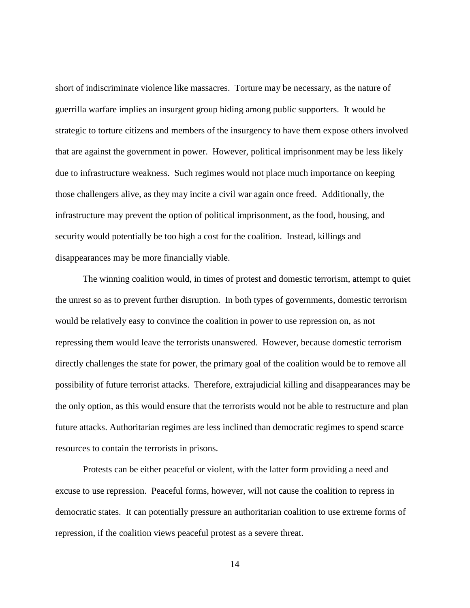short of indiscriminate violence like massacres. Torture may be necessary, as the nature of guerrilla warfare implies an insurgent group hiding among public supporters. It would be strategic to torture citizens and members of the insurgency to have them expose others involved that are against the government in power. However, political imprisonment may be less likely due to infrastructure weakness. Such regimes would not place much importance on keeping those challengers alive, as they may incite a civil war again once freed. Additionally, the infrastructure may prevent the option of political imprisonment, as the food, housing, and security would potentially be too high a cost for the coalition. Instead, killings and disappearances may be more financially viable.

The winning coalition would, in times of protest and domestic terrorism, attempt to quiet the unrest so as to prevent further disruption. In both types of governments, domestic terrorism would be relatively easy to convince the coalition in power to use repression on, as not repressing them would leave the terrorists unanswered. However, because domestic terrorism directly challenges the state for power, the primary goal of the coalition would be to remove all possibility of future terrorist attacks. Therefore, extrajudicial killing and disappearances may be the only option, as this would ensure that the terrorists would not be able to restructure and plan future attacks. Authoritarian regimes are less inclined than democratic regimes to spend scarce resources to contain the terrorists in prisons.

Protests can be either peaceful or violent, with the latter form providing a need and excuse to use repression. Peaceful forms, however, will not cause the coalition to repress in democratic states. It can potentially pressure an authoritarian coalition to use extreme forms of repression, if the coalition views peaceful protest as a severe threat.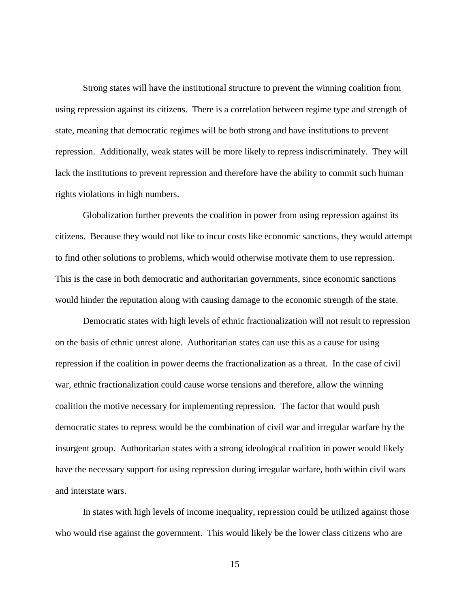Strong states will have the institutional structure to prevent the winning coalition from using repression against its citizens. There is a correlation between regime type and strength of state, meaning that democratic regimes will be both strong and have institutions to prevent repression. Additionally, weak states will be more likely to repress indiscriminately. They will lack the institutions to prevent repression and therefore have the ability to commit such human rights violations in high numbers.

Globalization further prevents the coalition in power from using repression against its citizens. Because they would not like to incur costs like economic sanctions, they would attempt to find other solutions to problems, which would otherwise motivate them to use repression. This is the case in both democratic and authoritarian governments, since economic sanctions would hinder the reputation along with causing damage to the economic strength of the state.

Democratic states with high levels of ethnic fractionalization will not result to repression on the basis of ethnic unrest alone. Authoritarian states can use this as a cause for using repression if the coalition in power deems the fractionalization as a threat. In the case of civil war, ethnic fractionalization could cause worse tensions and therefore, allow the winning coalition the motive necessary for implementing repression. The factor that would push democratic states to repress would be the combination of civil war and irregular warfare by the insurgent group. Authoritarian states with a strong ideological coalition in power would likely have the necessary support for using repression during irregular warfare, both within civil wars and interstate wars.

In states with high levels of income inequality, repression could be utilized against those who would rise against the government. This would likely be the lower class citizens who are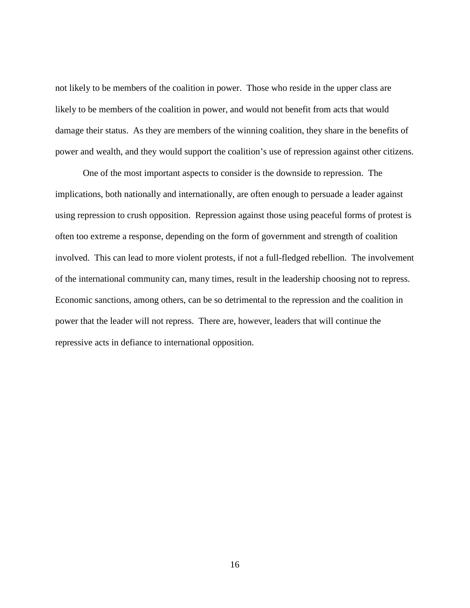not likely to be members of the coalition in power. Those who reside in the upper class are likely to be members of the coalition in power, and would not benefit from acts that would damage their status. As they are members of the winning coalition, they share in the benefits of power and wealth, and they would support the coalition's use of repression against other citizens.

One of the most important aspects to consider is the downside to repression. The implications, both nationally and internationally, are often enough to persuade a leader against using repression to crush opposition. Repression against those using peaceful forms of protest is often too extreme a response, depending on the form of government and strength of coalition involved. This can lead to more violent protests, if not a full-fledged rebellion. The involvement of the international community can, many times, result in the leadership choosing not to repress. Economic sanctions, among others, can be so detrimental to the repression and the coalition in power that the leader will not repress. There are, however, leaders that will continue the repressive acts in defiance to international opposition.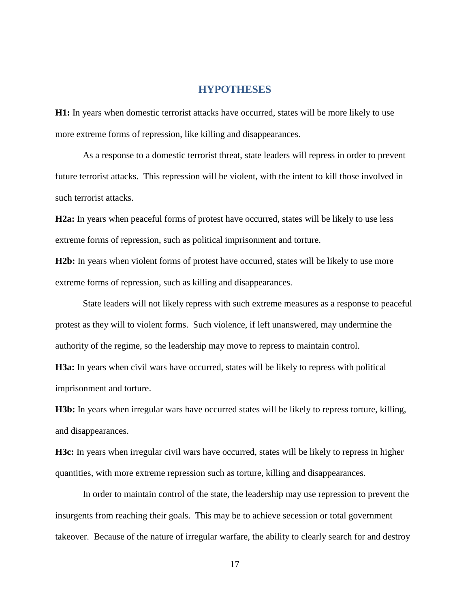#### **HYPOTHESES**

<span id="page-25-0"></span>**H1:** In years when domestic terrorist attacks have occurred, states will be more likely to use more extreme forms of repression, like killing and disappearances.

As a response to a domestic terrorist threat, state leaders will repress in order to prevent future terrorist attacks. This repression will be violent, with the intent to kill those involved in such terrorist attacks.

**H2a:** In years when peaceful forms of protest have occurred, states will be likely to use less extreme forms of repression, such as political imprisonment and torture.

**H2b:** In years when violent forms of protest have occurred, states will be likely to use more extreme forms of repression, such as killing and disappearances.

State leaders will not likely repress with such extreme measures as a response to peaceful protest as they will to violent forms. Such violence, if left unanswered, may undermine the authority of the regime, so the leadership may move to repress to maintain control. **H3a:** In years when civil wars have occurred, states will be likely to repress with political imprisonment and torture.

**H3b:** In years when irregular wars have occurred states will be likely to repress torture, killing, and disappearances.

**H3c:** In years when irregular civil wars have occurred, states will be likely to repress in higher quantities, with more extreme repression such as torture, killing and disappearances.

In order to maintain control of the state, the leadership may use repression to prevent the insurgents from reaching their goals. This may be to achieve secession or total government takeover. Because of the nature of irregular warfare, the ability to clearly search for and destroy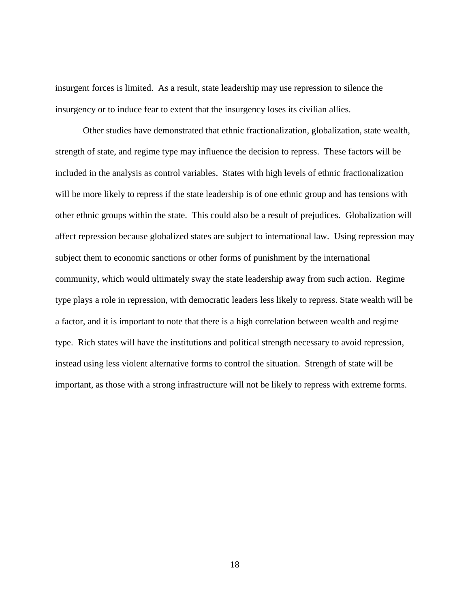insurgent forces is limited. As a result, state leadership may use repression to silence the insurgency or to induce fear to extent that the insurgency loses its civilian allies.

Other studies have demonstrated that ethnic fractionalization, globalization, state wealth, strength of state, and regime type may influence the decision to repress. These factors will be included in the analysis as control variables. States with high levels of ethnic fractionalization will be more likely to repress if the state leadership is of one ethnic group and has tensions with other ethnic groups within the state. This could also be a result of prejudices. Globalization will affect repression because globalized states are subject to international law. Using repression may subject them to economic sanctions or other forms of punishment by the international community, which would ultimately sway the state leadership away from such action. Regime type plays a role in repression, with democratic leaders less likely to repress. State wealth will be a factor, and it is important to note that there is a high correlation between wealth and regime type. Rich states will have the institutions and political strength necessary to avoid repression, instead using less violent alternative forms to control the situation. Strength of state will be important, as those with a strong infrastructure will not be likely to repress with extreme forms.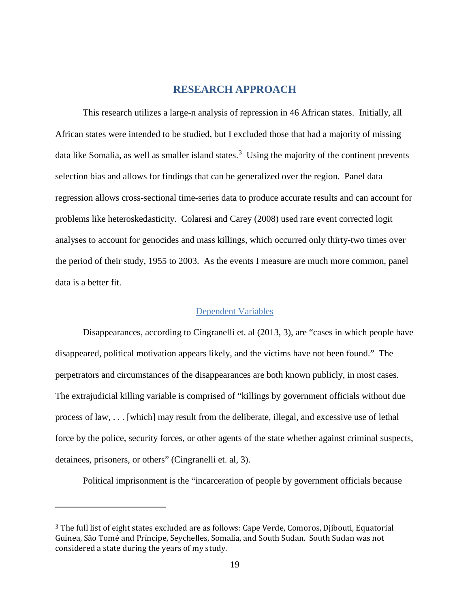# **RESEARCH APPROACH**

<span id="page-27-0"></span>This research utilizes a large-n analysis of repression in 46 African states. Initially, all African states were intended to be studied, but I excluded those that had a majority of missing data like Somalia, as well as smaller island states.<sup>[3](#page-27-2)</sup> Using the majority of the continent prevents selection bias and allows for findings that can be generalized over the region. Panel data regression allows cross-sectional time-series data to produce accurate results and can account for problems like heteroskedasticity. Colaresi and Carey (2008) used rare event corrected logit analyses to account for genocides and mass killings, which occurred only thirty-two times over the period of their study, 1955 to 2003. As the events I measure are much more common, panel data is a better fit.

#### Dependent Variables

<span id="page-27-1"></span>Disappearances, according to Cingranelli et. al (2013, 3), are "cases in which people have disappeared, political motivation appears likely, and the victims have not been found." The perpetrators and circumstances of the disappearances are both known publicly, in most cases. The extrajudicial killing variable is comprised of "killings by government officials without due process of law, . . . [which] may result from the deliberate, illegal, and excessive use of lethal force by the police, security forces, or other agents of the state whether against criminal suspects, detainees, prisoners, or others" (Cingranelli et. al, 3).

Political imprisonment is the "incarceration of people by government officials because

 $\overline{a}$ 

<span id="page-27-2"></span><sup>3</sup> The full list of eight states excluded are as follows: Cape Verde, Comoros, Djibouti, Equatorial Guinea, São Tomé and Príncipe, Seychelles, Somalia, and South Sudan. South Sudan was not considered a state during the years of my study.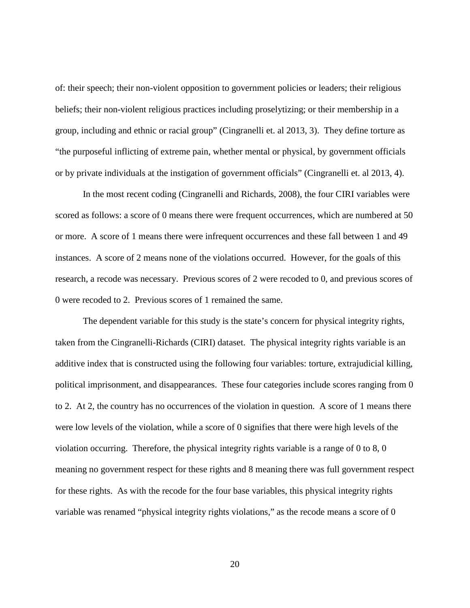of: their speech; their non-violent opposition to government policies or leaders; their religious beliefs; their non-violent religious practices including proselytizing; or their membership in a group, including and ethnic or racial group" (Cingranelli et. al 2013, 3). They define torture as "the purposeful inflicting of extreme pain, whether mental or physical, by government officials or by private individuals at the instigation of government officials" (Cingranelli et. al 2013, 4).

In the most recent coding (Cingranelli and Richards, 2008), the four CIRI variables were scored as follows: a score of 0 means there were frequent occurrences, which are numbered at 50 or more. A score of 1 means there were infrequent occurrences and these fall between 1 and 49 instances. A score of 2 means none of the violations occurred. However, for the goals of this research, a recode was necessary. Previous scores of 2 were recoded to 0, and previous scores of 0 were recoded to 2. Previous scores of 1 remained the same.

The dependent variable for this study is the state's concern for physical integrity rights, taken from the Cingranelli-Richards (CIRI) dataset. The physical integrity rights variable is an additive index that is constructed using the following four variables: torture, extrajudicial killing, political imprisonment, and disappearances. These four categories include scores ranging from 0 to 2. At 2, the country has no occurrences of the violation in question. A score of 1 means there were low levels of the violation, while a score of 0 signifies that there were high levels of the violation occurring. Therefore, the physical integrity rights variable is a range of 0 to 8, 0 meaning no government respect for these rights and 8 meaning there was full government respect for these rights. As with the recode for the four base variables, this physical integrity rights variable was renamed "physical integrity rights violations," as the recode means a score of 0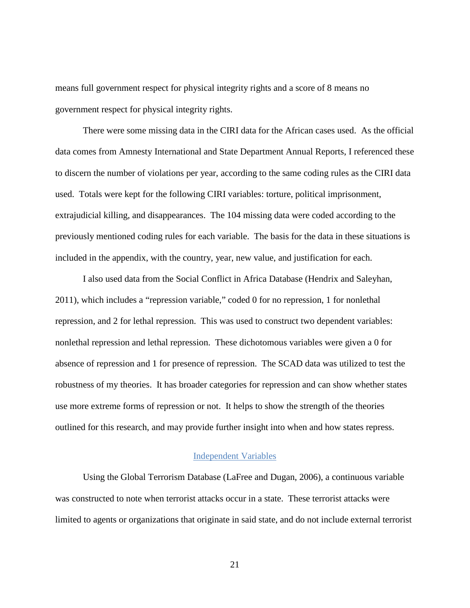means full government respect for physical integrity rights and a score of 8 means no government respect for physical integrity rights.

There were some missing data in the CIRI data for the African cases used. As the official data comes from Amnesty International and State Department Annual Reports, I referenced these to discern the number of violations per year, according to the same coding rules as the CIRI data used. Totals were kept for the following CIRI variables: torture, political imprisonment, extrajudicial killing, and disappearances. The 104 missing data were coded according to the previously mentioned coding rules for each variable. The basis for the data in these situations is included in the appendix, with the country, year, new value, and justification for each.

I also used data from the Social Conflict in Africa Database (Hendrix and Saleyhan, 2011), which includes a "repression variable," coded 0 for no repression, 1 for nonlethal repression, and 2 for lethal repression. This was used to construct two dependent variables: nonlethal repression and lethal repression. These dichotomous variables were given a 0 for absence of repression and 1 for presence of repression. The SCAD data was utilized to test the robustness of my theories. It has broader categories for repression and can show whether states use more extreme forms of repression or not. It helps to show the strength of the theories outlined for this research, and may provide further insight into when and how states repress.

#### Independent Variables

<span id="page-29-0"></span>Using the Global Terrorism Database (LaFree and Dugan, 2006), a continuous variable was constructed to note when terrorist attacks occur in a state. These terrorist attacks were limited to agents or organizations that originate in said state, and do not include external terrorist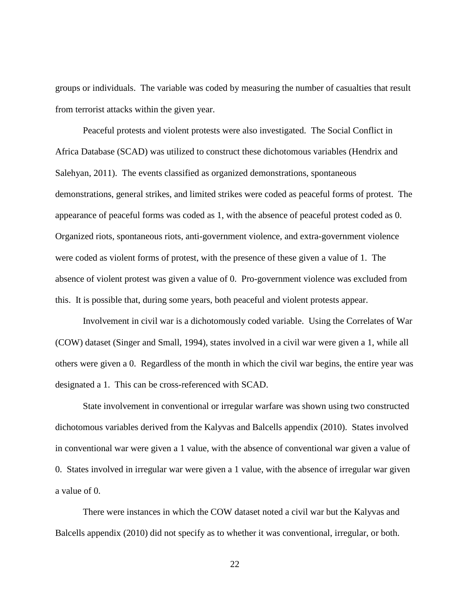groups or individuals. The variable was coded by measuring the number of casualties that result from terrorist attacks within the given year.

Peaceful protests and violent protests were also investigated. The Social Conflict in Africa Database (SCAD) was utilized to construct these dichotomous variables (Hendrix and Salehyan, 2011). The events classified as organized demonstrations, spontaneous demonstrations, general strikes, and limited strikes were coded as peaceful forms of protest. The appearance of peaceful forms was coded as 1, with the absence of peaceful protest coded as 0. Organized riots, spontaneous riots, anti-government violence, and extra-government violence were coded as violent forms of protest, with the presence of these given a value of 1. The absence of violent protest was given a value of 0. Pro-government violence was excluded from this. It is possible that, during some years, both peaceful and violent protests appear.

Involvement in civil war is a dichotomously coded variable. Using the Correlates of War (COW) dataset (Singer and Small, 1994), states involved in a civil war were given a 1, while all others were given a 0. Regardless of the month in which the civil war begins, the entire year was designated a 1. This can be cross-referenced with SCAD.

State involvement in conventional or irregular warfare was shown using two constructed dichotomous variables derived from the Kalyvas and Balcells appendix (2010). States involved in conventional war were given a 1 value, with the absence of conventional war given a value of 0. States involved in irregular war were given a 1 value, with the absence of irregular war given a value of 0.

There were instances in which the COW dataset noted a civil war but the Kalyvas and Balcells appendix (2010) did not specify as to whether it was conventional, irregular, or both.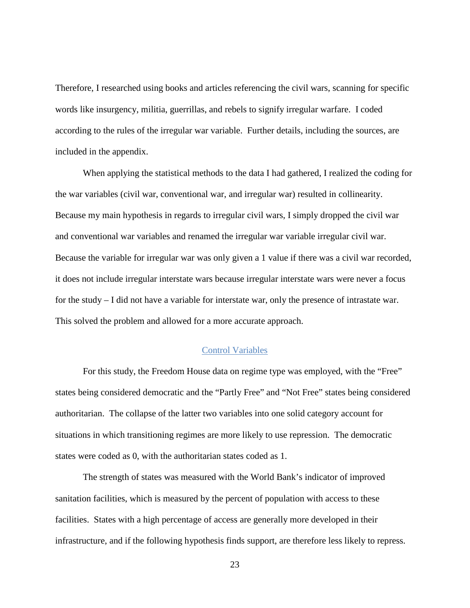Therefore, I researched using books and articles referencing the civil wars, scanning for specific words like insurgency, militia, guerrillas, and rebels to signify irregular warfare. I coded according to the rules of the irregular war variable. Further details, including the sources, are included in the appendix.

When applying the statistical methods to the data I had gathered, I realized the coding for the war variables (civil war, conventional war, and irregular war) resulted in collinearity. Because my main hypothesis in regards to irregular civil wars, I simply dropped the civil war and conventional war variables and renamed the irregular war variable irregular civil war. Because the variable for irregular war was only given a 1 value if there was a civil war recorded, it does not include irregular interstate wars because irregular interstate wars were never a focus for the study – I did not have a variable for interstate war, only the presence of intrastate war. This solved the problem and allowed for a more accurate approach.

#### Control Variables

<span id="page-31-0"></span>For this study, the Freedom House data on regime type was employed, with the "Free" states being considered democratic and the "Partly Free" and "Not Free" states being considered authoritarian. The collapse of the latter two variables into one solid category account for situations in which transitioning regimes are more likely to use repression. The democratic states were coded as 0, with the authoritarian states coded as 1.

The strength of states was measured with the World Bank's indicator of improved sanitation facilities, which is measured by the percent of population with access to these facilities. States with a high percentage of access are generally more developed in their infrastructure, and if the following hypothesis finds support, are therefore less likely to repress.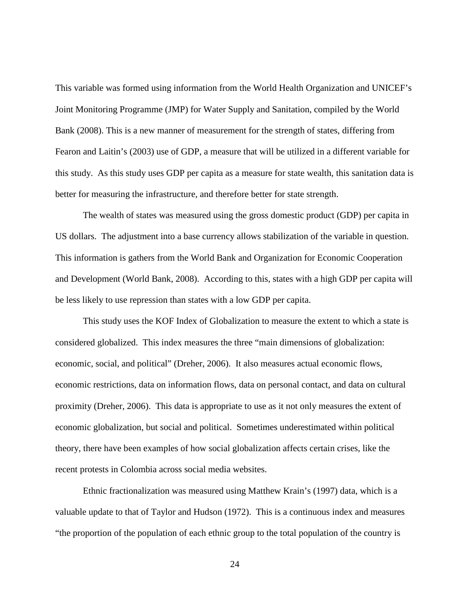This variable was formed using information from the World Health Organization and UNICEF's Joint Monitoring Programme (JMP) for Water Supply and Sanitation, compiled by the World Bank (2008). This is a new manner of measurement for the strength of states, differing from Fearon and Laitin's (2003) use of GDP, a measure that will be utilized in a different variable for this study. As this study uses GDP per capita as a measure for state wealth, this sanitation data is better for measuring the infrastructure, and therefore better for state strength.

The wealth of states was measured using the gross domestic product (GDP) per capita in US dollars. The adjustment into a base currency allows stabilization of the variable in question. This information is gathers from the World Bank and Organization for Economic Cooperation and Development (World Bank, 2008). According to this, states with a high GDP per capita will be less likely to use repression than states with a low GDP per capita.

This study uses the KOF Index of Globalization to measure the extent to which a state is considered globalized. This index measures the three "main dimensions of globalization: economic, social, and political" (Dreher, 2006). It also measures actual economic flows, economic restrictions, data on information flows, data on personal contact, and data on cultural proximity (Dreher, 2006). This data is appropriate to use as it not only measures the extent of economic globalization, but social and political. Sometimes underestimated within political theory, there have been examples of how social globalization affects certain crises, like the recent protests in Colombia across social media websites.

Ethnic fractionalization was measured using Matthew Krain's (1997) data, which is a valuable update to that of Taylor and Hudson (1972). This is a continuous index and measures "the proportion of the population of each ethnic group to the total population of the country is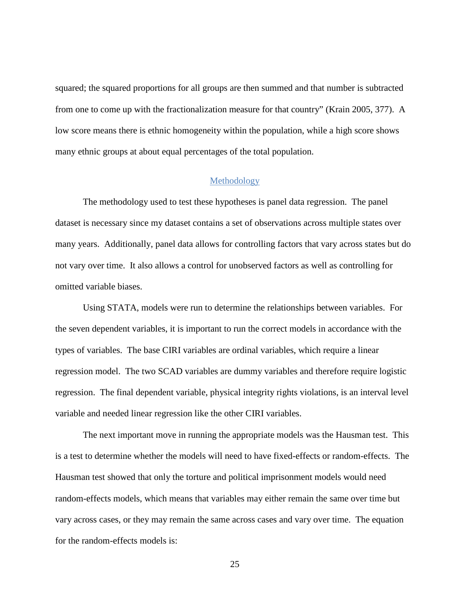squared; the squared proportions for all groups are then summed and that number is subtracted from one to come up with the fractionalization measure for that country" (Krain 2005, 377). A low score means there is ethnic homogeneity within the population, while a high score shows many ethnic groups at about equal percentages of the total population.

#### Methodology

<span id="page-33-0"></span>The methodology used to test these hypotheses is panel data regression. The panel dataset is necessary since my dataset contains a set of observations across multiple states over many years. Additionally, panel data allows for controlling factors that vary across states but do not vary over time. It also allows a control for unobserved factors as well as controlling for omitted variable biases.

Using STATA, models were run to determine the relationships between variables. For the seven dependent variables, it is important to run the correct models in accordance with the types of variables. The base CIRI variables are ordinal variables, which require a linear regression model. The two SCAD variables are dummy variables and therefore require logistic regression. The final dependent variable, physical integrity rights violations, is an interval level variable and needed linear regression like the other CIRI variables.

The next important move in running the appropriate models was the Hausman test. This is a test to determine whether the models will need to have fixed-effects or random-effects. The Hausman test showed that only the torture and political imprisonment models would need random-effects models, which means that variables may either remain the same over time but vary across cases, or they may remain the same across cases and vary over time. The equation for the random-effects models is: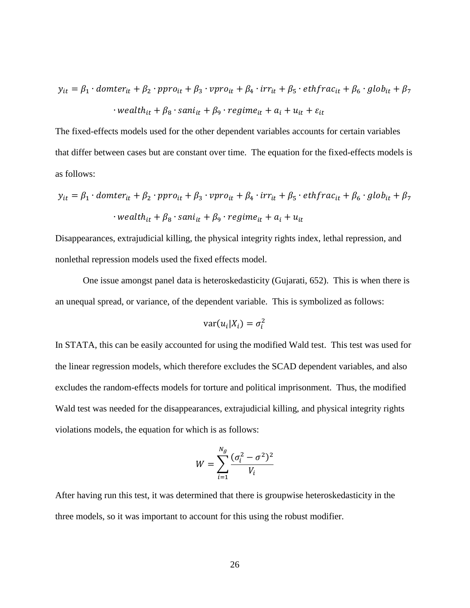$$
y_{it} = \beta_1 \cdot \text{domter}_{it} + \beta_2 \cdot \text{ppro}_{it} + \beta_3 \cdot \text{ppro}_{it} + \beta_4 \cdot \text{irr}_{it} + \beta_5 \cdot \text{ethfrac}_{it} + \beta_6 \cdot \text{glob}_{it} + \beta_7
$$

$$
\cdot \text{wealth}_{it} + \beta_8 \cdot \text{sani}_{it} + \beta_9 \cdot \text{regime}_{it} + a_i + u_{it} + \varepsilon_{it}
$$

The fixed-effects models used for the other dependent variables accounts for certain variables that differ between cases but are constant over time. The equation for the fixed-effects models is as follows:

$$
y_{it} = \beta_1 \cdot \text{domter}_{it} + \beta_2 \cdot \text{ppro}_{it} + \beta_3 \cdot \text{ppro}_{it} + \beta_4 \cdot \text{irr}_{it} + \beta_5 \cdot \text{ethfrac}_{it} + \beta_6 \cdot \text{glob}_{it} + \beta_7
$$

$$
\cdot \text{wealth}_{it} + \beta_8 \cdot \text{san}_{it} + \beta_9 \cdot \text{regime}_{it} + a_i + u_{it}
$$

Disappearances, extrajudicial killing, the physical integrity rights index, lethal repression, and nonlethal repression models used the fixed effects model.

One issue amongst panel data is heteroskedasticity (Gujarati, 652). This is when there is an unequal spread, or variance, of the dependent variable. This is symbolized as follows:

$$
var(u_i|X_i) = \sigma_i^2
$$

In STATA, this can be easily accounted for using the modified Wald test. This test was used for the linear regression models, which therefore excludes the SCAD dependent variables, and also excludes the random-effects models for torture and political imprisonment. Thus, the modified Wald test was needed for the disappearances, extrajudicial killing, and physical integrity rights violations models, the equation for which is as follows:

$$
W = \sum_{i=1}^{N_g} \frac{(\sigma_i^2 - \sigma^2)^2}{V_i}
$$

After having run this test, it was determined that there is groupwise heteroskedasticity in the three models, so it was important to account for this using the robust modifier.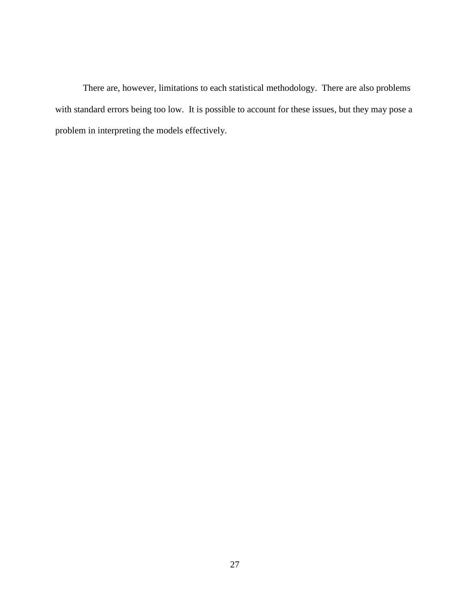There are, however, limitations to each statistical methodology. There are also problems with standard errors being too low. It is possible to account for these issues, but they may pose a problem in interpreting the models effectively.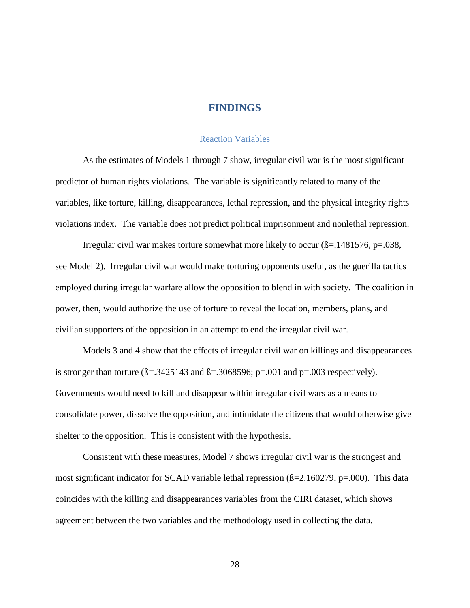### **FINDINGS**

### Reaction Variables

As the estimates of Models 1 through 7 show, irregular civil war is the most significant predictor of human rights violations. The variable is significantly related to many of the variables, like torture, killing, disappearances, lethal repression, and the physical integrity rights violations index. The variable does not predict political imprisonment and nonlethal repression.

Irregular civil war makes torture somewhat more likely to occur  $(\beta = 1481576, p = 0.038)$ , see Model 2). Irregular civil war would make torturing opponents useful, as the guerilla tactics employed during irregular warfare allow the opposition to blend in with society. The coalition in power, then, would authorize the use of torture to reveal the location, members, plans, and civilian supporters of the opposition in an attempt to end the irregular civil war.

Models 3 and 4 show that the effects of irregular civil war on killings and disappearances is stronger than torture  $(B=.3425143$  and  $B=.3068596$ ; p=.001 and p=.003 respectively). Governments would need to kill and disappear within irregular civil wars as a means to consolidate power, dissolve the opposition, and intimidate the citizens that would otherwise give shelter to the opposition. This is consistent with the hypothesis.

Consistent with these measures, Model 7 shows irregular civil war is the strongest and most significant indicator for SCAD variable lethal repression ( $\beta$ =2.160279, p=.000). This data coincides with the killing and disappearances variables from the CIRI dataset, which shows agreement between the two variables and the methodology used in collecting the data.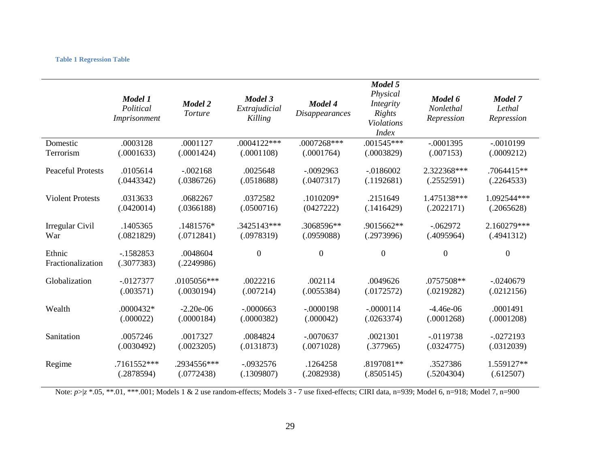#### **Table 1 Regression Table**

|                             | Model 1<br>Political<br>Imprisonment | Model 2<br>Torture     | Model 3<br>Extrajudicial<br>Killing | <b>Model 4</b><br><i>Disappearances</i> | Model 5<br>Physical<br>Integrity<br>Rights<br><b>Violations</b><br><b>Index</b> | Model 6<br>Nonlethal<br>Repression | Model 7<br>Lethal<br>Repression |
|-----------------------------|--------------------------------------|------------------------|-------------------------------------|-----------------------------------------|---------------------------------------------------------------------------------|------------------------------------|---------------------------------|
| Domestic                    | .0003128                             | .0001127               | $.0004122***$                       | .0007268***                             | $.001545***$                                                                    | $-.0001395$                        | $-.0010199$                     |
| Terrorism                   | (.0001633)                           | (.0001424)             | (.0001108)                          | (.0001764)                              | (.0003829)                                                                      | (.007153)                          | (.0009212)                      |
| <b>Peaceful Protests</b>    | .0105614                             | $-.002168$             | .0025648                            | $-.0092963$                             | $-.0186002$                                                                     | 2.322368***                        | .7064415**                      |
|                             | (.0443342)                           | (.0386726)             | (.0518688)                          | (.0407317)                              | (.1192681)                                                                      | (.2552591)                         | (.2264533)                      |
| <b>Violent Protests</b>     | .0313633                             | .0682267               | .0372582                            | .1010209*                               | .2151649                                                                        | 1.475138***                        | 1.092544***                     |
|                             | (.0420014)                           | (.0366188)             | (.0500716)                          | (0427222)                               | (.1416429)                                                                      | (.2022171)                         | (.2065628)                      |
| Irregular Civil             | .1405365                             | .1481576*              | .3425143***                         | .3068596**                              | .9015662**                                                                      | $-062972$                          | 2.160279***                     |
| War                         | (.0821829)                           | (.0712841)             | (.0978319)                          | (.0959088)                              | (.2973996)                                                                      | (.4095964)                         | (.4941312)                      |
| Ethnic<br>Fractionalization | $-1582853$<br>(.3077383)             | .0048604<br>(.2249986) | $\boldsymbol{0}$                    | $\boldsymbol{0}$                        | $\boldsymbol{0}$                                                                | $\overline{0}$                     | $\boldsymbol{0}$                |
| Globalization               | $-0127377$                           | .0105056***            | .0022216                            | .002114                                 | .0049626                                                                        | .0757508**                         | $-.0240679$                     |
|                             | (.003571)                            | (.0030194)             | (.007214)                           | (.0055384)                              | (.0172572)                                                                      | (.0219282)                         | (.0212156)                      |
| Wealth                      | .0000432*                            | $-2.20e-06$            | $-.0000663$                         | $-.0000198$                             | $-.0000114$                                                                     | $-4.46e-06$                        | .0001491                        |
|                             | (.000022)                            | (.0000184)             | (.0000382)                          | (.000042)                               | (.0263374)                                                                      | (.0001268)                         | (.0001208)                      |
| Sanitation                  | .0057246                             | .0017327               | .0084824                            | $-.0070637$                             | .0021301                                                                        | $-0119738$                         | $-0272193$                      |
|                             | (.0030492)                           | (.0023205)             | (.0131873)                          | (.0071028)                              | (.377965)                                                                       | (.0324775)                         | (.0312039)                      |
| Regime                      | .7161552***                          | .2934556***            | $-.0932576$                         | .1264258                                | .8197081**                                                                      | .3527386                           | 1.559127**                      |
|                             | (.2878594)                           | (.0772438)             | (.1309807)                          | (.2082938)                              | (.8505145)                                                                      | (.5204304)                         | (.612507)                       |

Note:  $p > |z^*0.05|$ , \*\*.01, \*\*\*.001; Models 1 & 2 use random-effects; Models 3 - 7 use fixed-effects; CIRI data, n=939; Model 6, n=918; Model 7, n=900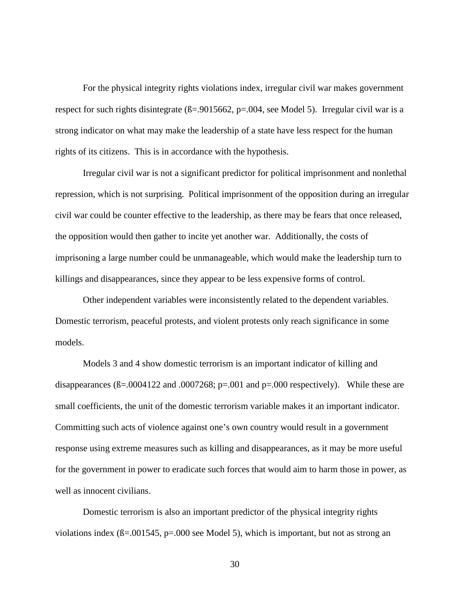For the physical integrity rights violations index, irregular civil war makes government respect for such rights disintegrate ( $\beta$ =.9015662, p=.004, see Model 5). Irregular civil war is a strong indicator on what may make the leadership of a state have less respect for the human rights of its citizens. This is in accordance with the hypothesis.

Irregular civil war is not a significant predictor for political imprisonment and nonlethal repression, which is not surprising. Political imprisonment of the opposition during an irregular civil war could be counter effective to the leadership, as there may be fears that once released, the opposition would then gather to incite yet another war. Additionally, the costs of imprisoning a large number could be unmanageable, which would make the leadership turn to killings and disappearances, since they appear to be less expensive forms of control.

Other independent variables were inconsistently related to the dependent variables. Domestic terrorism, peaceful protests, and violent protests only reach significance in some models.

Models 3 and 4 show domestic terrorism is an important indicator of killing and disappearances  $(B=.0004122$  and  $.0007268$ ; p=.001 and p=.000 respectively). While these are small coefficients, the unit of the domestic terrorism variable makes it an important indicator. Committing such acts of violence against one's own country would result in a government response using extreme measures such as killing and disappearances, as it may be more useful for the government in power to eradicate such forces that would aim to harm those in power, as well as innocent civilians.

Domestic terrorism is also an important predictor of the physical integrity rights violations index (ß=.001545, p=.000 see Model 5), which is important, but not as strong an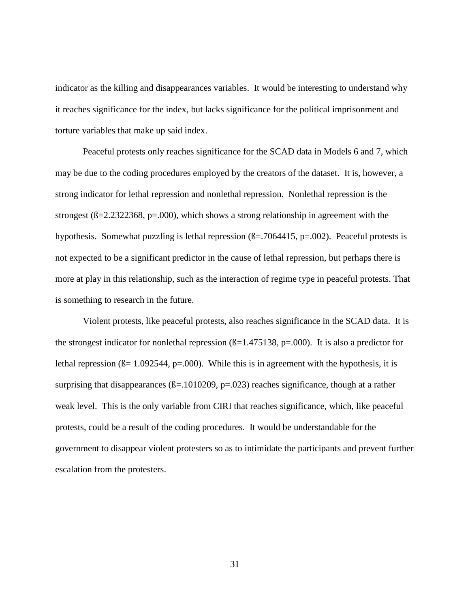indicator as the killing and disappearances variables. It would be interesting to understand why it reaches significance for the index, but lacks significance for the political imprisonment and torture variables that make up said index.

Peaceful protests only reaches significance for the SCAD data in Models 6 and 7, which may be due to the coding procedures employed by the creators of the dataset. It is, however, a strong indicator for lethal repression and nonlethal repression. Nonlethal repression is the strongest ( $\beta$ =2.2322368, p=.000), which shows a strong relationship in agreement with the hypothesis. Somewhat puzzling is lethal repression ( $\beta$ =.7064415, p=.002). Peaceful protests is not expected to be a significant predictor in the cause of lethal repression, but perhaps there is more at play in this relationship, such as the interaction of regime type in peaceful protests. That is something to research in the future.

Violent protests, like peaceful protests, also reaches significance in the SCAD data. It is the strongest indicator for nonlethal repression  $(\beta=1.475138, p=.000)$ . It is also a predictor for lethal repression  $(\beta = 1.092544, p = .000)$ . While this is in agreement with the hypothesis, it is surprising that disappearances ( $\beta$ =.1010209, p=.023) reaches significance, though at a rather weak level. This is the only variable from CIRI that reaches significance, which, like peaceful protests, could be a result of the coding procedures. It would be understandable for the government to disappear violent protesters so as to intimidate the participants and prevent further escalation from the protesters.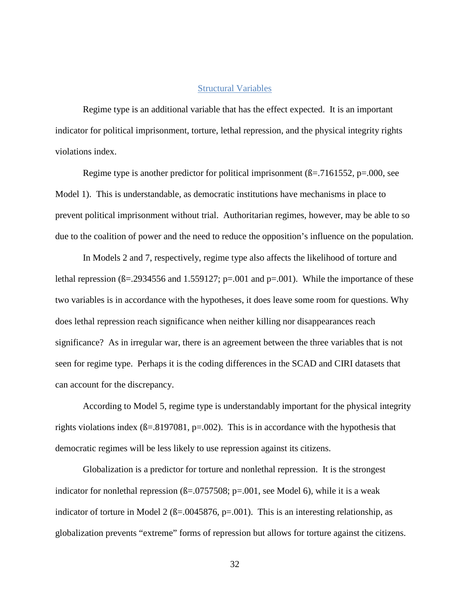### Structural Variables

Regime type is an additional variable that has the effect expected. It is an important indicator for political imprisonment, torture, lethal repression, and the physical integrity rights violations index.

Regime type is another predictor for political imprisonment  $(\beta = .7161552, p = .000, \text{ see}$ Model 1). This is understandable, as democratic institutions have mechanisms in place to prevent political imprisonment without trial. Authoritarian regimes, however, may be able to so due to the coalition of power and the need to reduce the opposition's influence on the population.

In Models 2 and 7, respectively, regime type also affects the likelihood of torture and lethal repression  $(\beta = 0.2934556$  and 1.559127; p=.001 and p=.001). While the importance of these two variables is in accordance with the hypotheses, it does leave some room for questions. Why does lethal repression reach significance when neither killing nor disappearances reach significance? As in irregular war, there is an agreement between the three variables that is not seen for regime type. Perhaps it is the coding differences in the SCAD and CIRI datasets that can account for the discrepancy.

According to Model 5, regime type is understandably important for the physical integrity rights violations index  $(\beta = .8197081, p = .002)$ . This is in accordance with the hypothesis that democratic regimes will be less likely to use repression against its citizens.

Globalization is a predictor for torture and nonlethal repression. It is the strongest indicator for nonlethal repression  $(\beta = 0.0757508; \, p = 0.001)$ , see Model 6), while it is a weak indicator of torture in Model 2 ( $\beta$ =.0045876, p=.001). This is an interesting relationship, as globalization prevents "extreme" forms of repression but allows for torture against the citizens.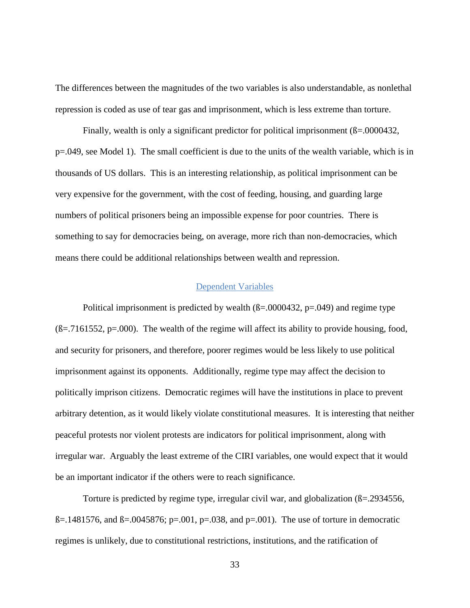The differences between the magnitudes of the two variables is also understandable, as nonlethal repression is coded as use of tear gas and imprisonment, which is less extreme than torture.

Finally, wealth is only a significant predictor for political imprisonment ( $\beta$ =.0000432, p=.049, see Model 1). The small coefficient is due to the units of the wealth variable, which is in thousands of US dollars. This is an interesting relationship, as political imprisonment can be very expensive for the government, with the cost of feeding, housing, and guarding large numbers of political prisoners being an impossible expense for poor countries. There is something to say for democracies being, on average, more rich than non-democracies, which means there could be additional relationships between wealth and repression.

### Dependent Variables

Political imprisonment is predicted by wealth  $(\beta = .0000432, p = .049)$  and regime type  $(\beta = .7161552, p = .000)$ . The wealth of the regime will affect its ability to provide housing, food, and security for prisoners, and therefore, poorer regimes would be less likely to use political imprisonment against its opponents. Additionally, regime type may affect the decision to politically imprison citizens. Democratic regimes will have the institutions in place to prevent arbitrary detention, as it would likely violate constitutional measures. It is interesting that neither peaceful protests nor violent protests are indicators for political imprisonment, along with irregular war. Arguably the least extreme of the CIRI variables, one would expect that it would be an important indicator if the others were to reach significance.

Torture is predicted by regime type, irregular civil war, and globalization (ß=.2934556,  $B = 1481576$ , and  $B = 0.0045876$ ; p=.001, p=.038, and p=.001). The use of torture in democratic regimes is unlikely, due to constitutional restrictions, institutions, and the ratification of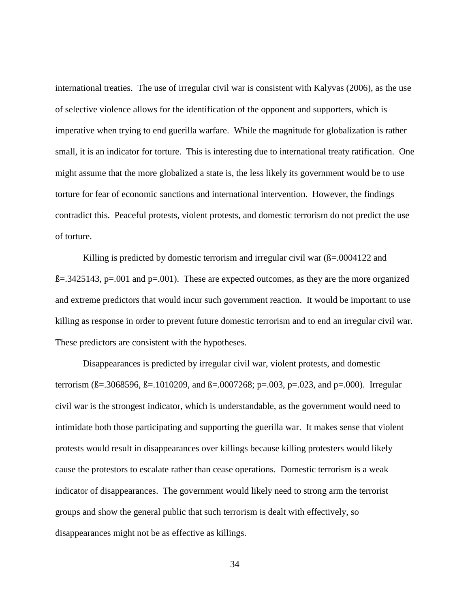international treaties. The use of irregular civil war is consistent with Kalyvas (2006), as the use of selective violence allows for the identification of the opponent and supporters, which is imperative when trying to end guerilla warfare. While the magnitude for globalization is rather small, it is an indicator for torture. This is interesting due to international treaty ratification. One might assume that the more globalized a state is, the less likely its government would be to use torture for fear of economic sanctions and international intervention. However, the findings contradict this. Peaceful protests, violent protests, and domestic terrorism do not predict the use of torture.

Killing is predicted by domestic terrorism and irregular civil war  $(\beta = .0004122$  and  $B = 0.3425143$ , p=.001 and p=.001). These are expected outcomes, as they are the more organized and extreme predictors that would incur such government reaction. It would be important to use killing as response in order to prevent future domestic terrorism and to end an irregular civil war. These predictors are consistent with the hypotheses.

Disappearances is predicted by irregular civil war, violent protests, and domestic terrorism ( $\beta = 0.3068596$ ,  $\beta = 0.1010209$ , and  $\beta = 0.0007268$ ; p=.003, p=.023, and p=.000). Irregular civil war is the strongest indicator, which is understandable, as the government would need to intimidate both those participating and supporting the guerilla war. It makes sense that violent protests would result in disappearances over killings because killing protesters would likely cause the protestors to escalate rather than cease operations. Domestic terrorism is a weak indicator of disappearances. The government would likely need to strong arm the terrorist groups and show the general public that such terrorism is dealt with effectively, so disappearances might not be as effective as killings.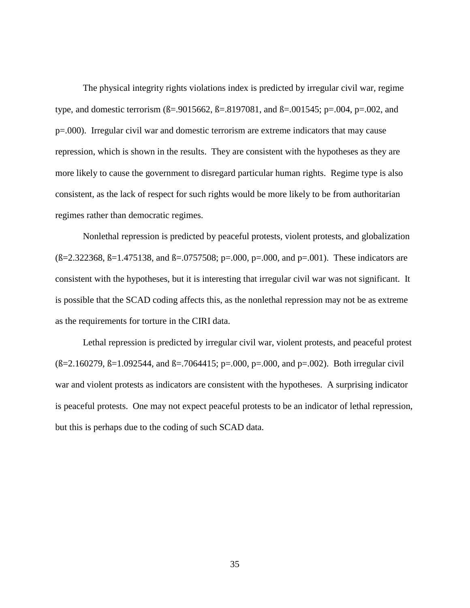The physical integrity rights violations index is predicted by irregular civil war, regime type, and domestic terrorism (ß=.9015662, ß=.8197081, and ß=.001545; p=.004, p=.002, and p=.000). Irregular civil war and domestic terrorism are extreme indicators that may cause repression, which is shown in the results. They are consistent with the hypotheses as they are more likely to cause the government to disregard particular human rights. Regime type is also consistent, as the lack of respect for such rights would be more likely to be from authoritarian regimes rather than democratic regimes.

Nonlethal repression is predicted by peaceful protests, violent protests, and globalization  $(B=2.322368, B=1.475138, and B=0.0757508; p=.000, p=.000, and p=.001)$ . These indicators are consistent with the hypotheses, but it is interesting that irregular civil war was not significant. It is possible that the SCAD coding affects this, as the nonlethal repression may not be as extreme as the requirements for torture in the CIRI data.

Lethal repression is predicted by irregular civil war, violent protests, and peaceful protest  $(\text{B} = 2.160279, \text{B} = 1.092544, \text{ and } \text{B} = .7064415; \text{p} = .000, \text{p} = .000, \text{ and } \text{p} = .002)$ . Both irregular civil war and violent protests as indicators are consistent with the hypotheses. A surprising indicator is peaceful protests. One may not expect peaceful protests to be an indicator of lethal repression, but this is perhaps due to the coding of such SCAD data.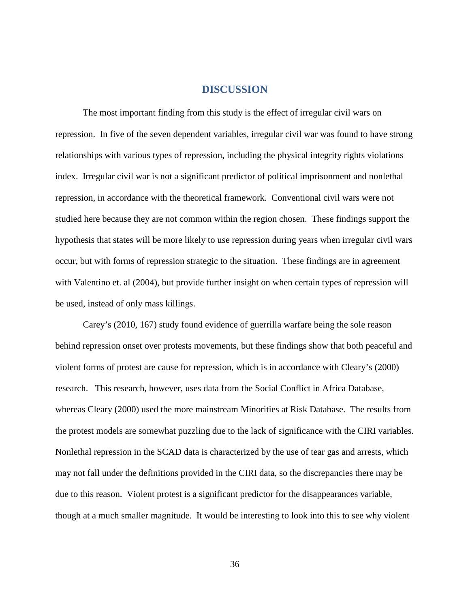### **DISCUSSION**

The most important finding from this study is the effect of irregular civil wars on repression. In five of the seven dependent variables, irregular civil war was found to have strong relationships with various types of repression, including the physical integrity rights violations index. Irregular civil war is not a significant predictor of political imprisonment and nonlethal repression, in accordance with the theoretical framework. Conventional civil wars were not studied here because they are not common within the region chosen. These findings support the hypothesis that states will be more likely to use repression during years when irregular civil wars occur, but with forms of repression strategic to the situation. These findings are in agreement with Valentino et. al (2004), but provide further insight on when certain types of repression will be used, instead of only mass killings.

Carey's (2010, 167) study found evidence of guerrilla warfare being the sole reason behind repression onset over protests movements, but these findings show that both peaceful and violent forms of protest are cause for repression, which is in accordance with Cleary's (2000) research. This research, however, uses data from the Social Conflict in Africa Database, whereas Cleary (2000) used the more mainstream Minorities at Risk Database. The results from the protest models are somewhat puzzling due to the lack of significance with the CIRI variables. Nonlethal repression in the SCAD data is characterized by the use of tear gas and arrests, which may not fall under the definitions provided in the CIRI data, so the discrepancies there may be due to this reason. Violent protest is a significant predictor for the disappearances variable, though at a much smaller magnitude. It would be interesting to look into this to see why violent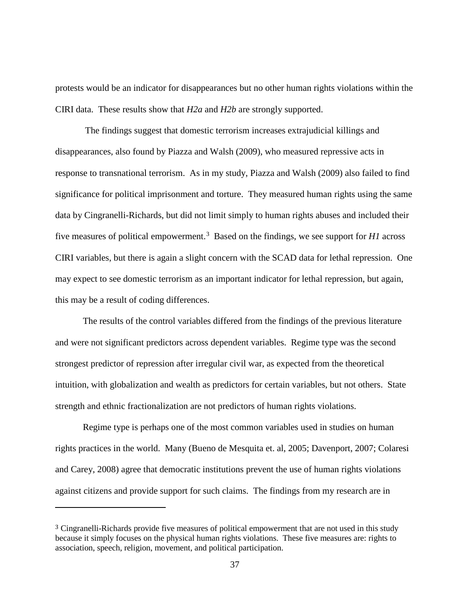protests would be an indicator for disappearances but no other human rights violations within the CIRI data. These results show that *H2a* and *H2b* are strongly supported.

The findings suggest that domestic terrorism increases extrajudicial killings and disappearances, also found by Piazza and Walsh (2009), who measured repressive acts in response to transnational terrorism. As in my study, Piazza and Walsh (2009) also failed to find significance for political imprisonment and torture. They measured human rights using the same data by Cingranelli-Richards, but did not limit simply to human rights abuses and included their five measures of political empowerment.[3](#page-45-0) Based on the findings, we see support for *H1* across CIRI variables, but there is again a slight concern with the SCAD data for lethal repression. One may expect to see domestic terrorism as an important indicator for lethal repression, but again, this may be a result of coding differences.

The results of the control variables differed from the findings of the previous literature and were not significant predictors across dependent variables. Regime type was the second strongest predictor of repression after irregular civil war, as expected from the theoretical intuition, with globalization and wealth as predictors for certain variables, but not others. State strength and ethnic fractionalization are not predictors of human rights violations.

Regime type is perhaps one of the most common variables used in studies on human rights practices in the world. Many (Bueno de Mesquita et. al, 2005; Davenport, 2007; Colaresi and Carey, 2008) agree that democratic institutions prevent the use of human rights violations against citizens and provide support for such claims. The findings from my research are in

 $\overline{a}$ 

<span id="page-45-0"></span><sup>3</sup> Cingranelli-Richards provide five measures of political empowerment that are not used in this study because it simply focuses on the physical human rights violations. These five measures are: rights to association, speech, religion, movement, and political participation.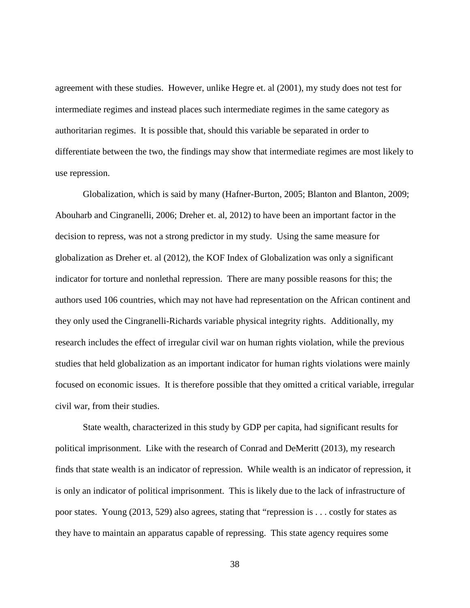agreement with these studies. However, unlike Hegre et. al (2001), my study does not test for intermediate regimes and instead places such intermediate regimes in the same category as authoritarian regimes. It is possible that, should this variable be separated in order to differentiate between the two, the findings may show that intermediate regimes are most likely to use repression.

Globalization, which is said by many (Hafner-Burton, 2005; Blanton and Blanton, 2009; Abouharb and Cingranelli, 2006; Dreher et. al, 2012) to have been an important factor in the decision to repress, was not a strong predictor in my study. Using the same measure for globalization as Dreher et. al (2012), the KOF Index of Globalization was only a significant indicator for torture and nonlethal repression. There are many possible reasons for this; the authors used 106 countries, which may not have had representation on the African continent and they only used the Cingranelli-Richards variable physical integrity rights. Additionally, my research includes the effect of irregular civil war on human rights violation, while the previous studies that held globalization as an important indicator for human rights violations were mainly focused on economic issues. It is therefore possible that they omitted a critical variable, irregular civil war, from their studies.

State wealth, characterized in this study by GDP per capita, had significant results for political imprisonment. Like with the research of Conrad and DeMeritt (2013), my research finds that state wealth is an indicator of repression. While wealth is an indicator of repression, it is only an indicator of political imprisonment. This is likely due to the lack of infrastructure of poor states. Young (2013, 529) also agrees, stating that "repression is . . . costly for states as they have to maintain an apparatus capable of repressing. This state agency requires some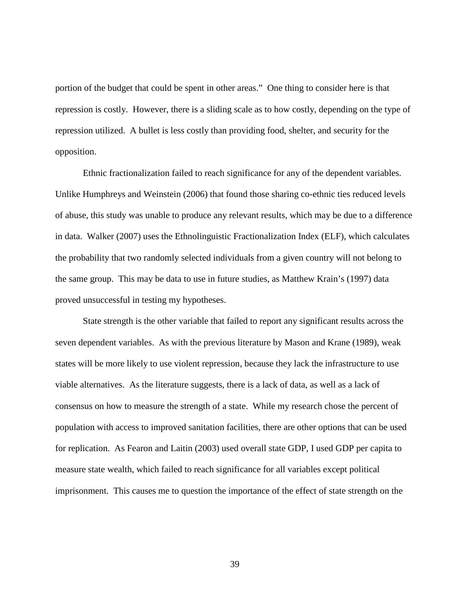portion of the budget that could be spent in other areas." One thing to consider here is that repression is costly. However, there is a sliding scale as to how costly, depending on the type of repression utilized. A bullet is less costly than providing food, shelter, and security for the opposition.

Ethnic fractionalization failed to reach significance for any of the dependent variables. Unlike Humphreys and Weinstein (2006) that found those sharing co-ethnic ties reduced levels of abuse, this study was unable to produce any relevant results, which may be due to a difference in data. Walker (2007) uses the Ethnolinguistic Fractionalization Index (ELF), which calculates the probability that two randomly selected individuals from a given country will not belong to the same group. This may be data to use in future studies, as Matthew Krain's (1997) data proved unsuccessful in testing my hypotheses.

State strength is the other variable that failed to report any significant results across the seven dependent variables. As with the previous literature by Mason and Krane (1989), weak states will be more likely to use violent repression, because they lack the infrastructure to use viable alternatives. As the literature suggests, there is a lack of data, as well as a lack of consensus on how to measure the strength of a state. While my research chose the percent of population with access to improved sanitation facilities, there are other options that can be used for replication. As Fearon and Laitin (2003) used overall state GDP, I used GDP per capita to measure state wealth, which failed to reach significance for all variables except political imprisonment. This causes me to question the importance of the effect of state strength on the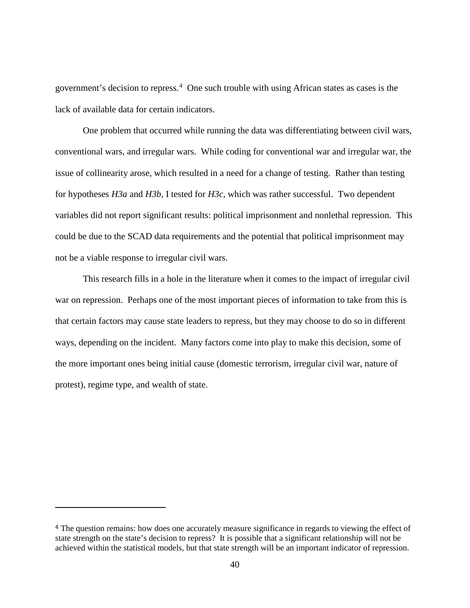government's decision to repress.[4](#page-48-0) One such trouble with using African states as cases is the lack of available data for certain indicators.

One problem that occurred while running the data was differentiating between civil wars, conventional wars, and irregular wars. While coding for conventional war and irregular war, the issue of collinearity arose, which resulted in a need for a change of testing. Rather than testing for hypotheses *H3a* and *H3b*, I tested for *H3c*, which was rather successful. Two dependent variables did not report significant results: political imprisonment and nonlethal repression. This could be due to the SCAD data requirements and the potential that political imprisonment may not be a viable response to irregular civil wars.

This research fills in a hole in the literature when it comes to the impact of irregular civil war on repression. Perhaps one of the most important pieces of information to take from this is that certain factors may cause state leaders to repress, but they may choose to do so in different ways, depending on the incident. Many factors come into play to make this decision, some of the more important ones being initial cause (domestic terrorism, irregular civil war, nature of protest), regime type, and wealth of state.

 $\overline{a}$ 

<span id="page-48-0"></span><sup>4</sup> The question remains: how does one accurately measure significance in regards to viewing the effect of state strength on the state's decision to repress? It is possible that a significant relationship will not be achieved within the statistical models, but that state strength will be an important indicator of repression.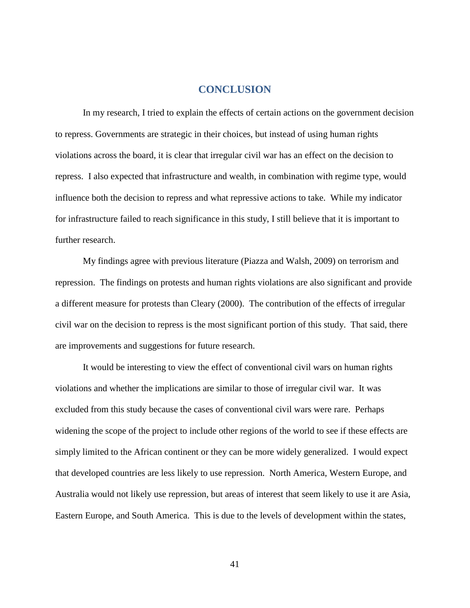### **CONCLUSION**

In my research, I tried to explain the effects of certain actions on the government decision to repress. Governments are strategic in their choices, but instead of using human rights violations across the board, it is clear that irregular civil war has an effect on the decision to repress. I also expected that infrastructure and wealth, in combination with regime type, would influence both the decision to repress and what repressive actions to take. While my indicator for infrastructure failed to reach significance in this study, I still believe that it is important to further research.

My findings agree with previous literature (Piazza and Walsh, 2009) on terrorism and repression. The findings on protests and human rights violations are also significant and provide a different measure for protests than Cleary (2000). The contribution of the effects of irregular civil war on the decision to repress is the most significant portion of this study. That said, there are improvements and suggestions for future research.

It would be interesting to view the effect of conventional civil wars on human rights violations and whether the implications are similar to those of irregular civil war. It was excluded from this study because the cases of conventional civil wars were rare. Perhaps widening the scope of the project to include other regions of the world to see if these effects are simply limited to the African continent or they can be more widely generalized. I would expect that developed countries are less likely to use repression. North America, Western Europe, and Australia would not likely use repression, but areas of interest that seem likely to use it are Asia, Eastern Europe, and South America. This is due to the levels of development within the states,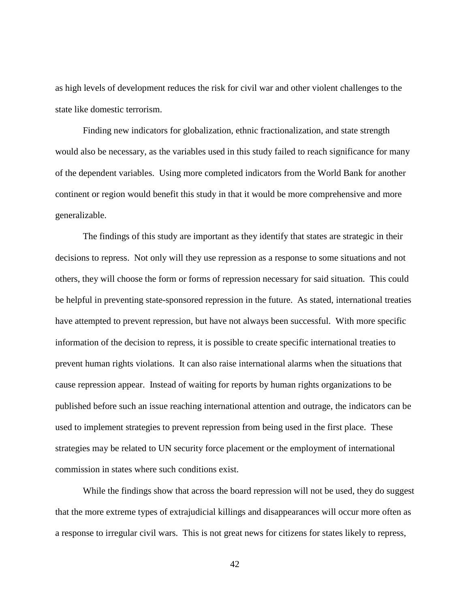as high levels of development reduces the risk for civil war and other violent challenges to the state like domestic terrorism.

Finding new indicators for globalization, ethnic fractionalization, and state strength would also be necessary, as the variables used in this study failed to reach significance for many of the dependent variables. Using more completed indicators from the World Bank for another continent or region would benefit this study in that it would be more comprehensive and more generalizable.

The findings of this study are important as they identify that states are strategic in their decisions to repress. Not only will they use repression as a response to some situations and not others, they will choose the form or forms of repression necessary for said situation. This could be helpful in preventing state-sponsored repression in the future. As stated, international treaties have attempted to prevent repression, but have not always been successful. With more specific information of the decision to repress, it is possible to create specific international treaties to prevent human rights violations. It can also raise international alarms when the situations that cause repression appear. Instead of waiting for reports by human rights organizations to be published before such an issue reaching international attention and outrage, the indicators can be used to implement strategies to prevent repression from being used in the first place. These strategies may be related to UN security force placement or the employment of international commission in states where such conditions exist.

While the findings show that across the board repression will not be used, they do suggest that the more extreme types of extrajudicial killings and disappearances will occur more often as a response to irregular civil wars. This is not great news for citizens for states likely to repress,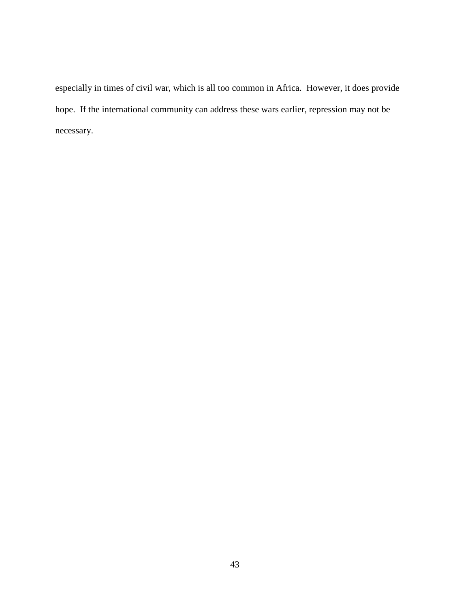especially in times of civil war, which is all too common in Africa. However, it does provide hope. If the international community can address these wars earlier, repression may not be necessary.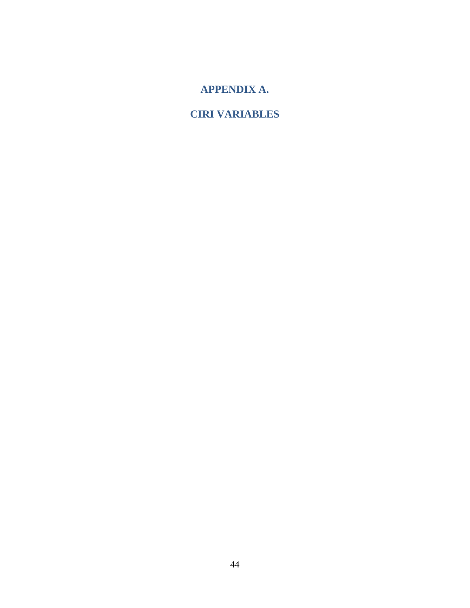**APPENDIX A.**

**CIRI VARIABLES**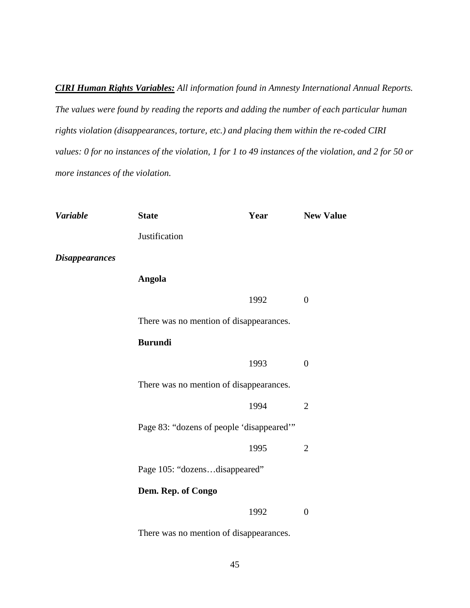*CIRI Human Rights Variables: All information found in Amnesty International Annual Reports. The values were found by reading the reports and adding the number of each particular human rights violation (disappearances, torture, etc.) and placing them within the re-coded CIRI values: 0 for no instances of the violation, 1 for 1 to 49 instances of the violation, and 2 for 50 or more instances of the violation.*

| <b>Variable</b>       | <b>State</b>                              | Year | <b>New Value</b> |
|-----------------------|-------------------------------------------|------|------------------|
|                       | Justification                             |      |                  |
| <b>Disappearances</b> |                                           |      |                  |
|                       | <b>Angola</b>                             |      |                  |
|                       |                                           | 1992 | $\boldsymbol{0}$ |
|                       | There was no mention of disappearances.   |      |                  |
|                       | <b>Burundi</b>                            |      |                  |
|                       |                                           | 1993 | $\boldsymbol{0}$ |
|                       | There was no mention of disappearances.   |      |                  |
|                       |                                           | 1994 | $\overline{2}$   |
|                       | Page 83: "dozens of people 'disappeared'" |      |                  |
|                       |                                           | 1995 | $\overline{2}$   |
|                       | Page 105: "dozensdisappeared"             |      |                  |
|                       | Dem. Rep. of Congo                        |      |                  |
|                       |                                           | 1992 | $\overline{0}$   |
|                       |                                           |      |                  |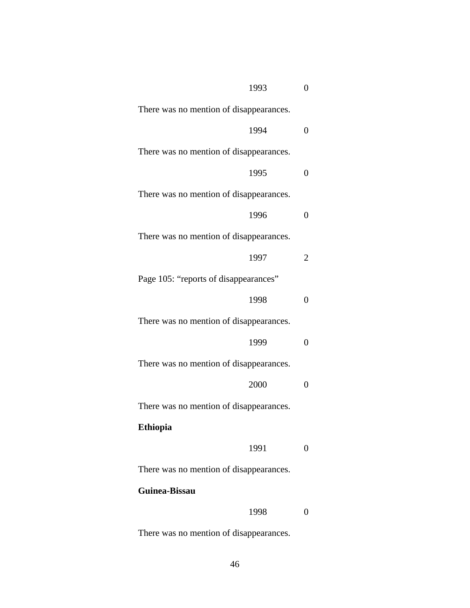| 1993                                    | 0                 |
|-----------------------------------------|-------------------|
| There was no mention of disappearances. |                   |
| 1994                                    | 0                 |
| There was no mention of disappearances. |                   |
| 1995                                    | $\theta$          |
| There was no mention of disappearances. |                   |
| 1996                                    | 0                 |
| There was no mention of disappearances. |                   |
| 1997                                    | 2                 |
| Page 105: "reports of disappearances"   |                   |
| 1998                                    | 0                 |
| There was no mention of disappearances. |                   |
| 1999                                    | 0                 |
| There was no mention of disappearances. |                   |
| 2000                                    | 0                 |
| There was no mention of disappearances. |                   |
| <b>Ethiopia</b>                         |                   |
| 1991                                    | $\mathbf{\Omega}$ |
| There was no mention of disappearances. |                   |
| Guinea-Bissau                           |                   |
| 1998                                    | $\mathbf{\Omega}$ |
|                                         |                   |
|                                         |                   |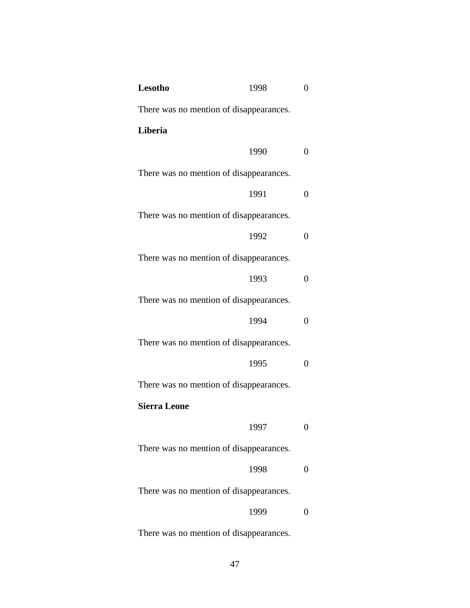| Lesotho                                 | 1998 | 0                |
|-----------------------------------------|------|------------------|
| There was no mention of disappearances. |      |                  |
| Liberia                                 |      |                  |
|                                         | 1990 | 0                |
| There was no mention of disappearances. |      |                  |
|                                         | 1991 | $\overline{0}$   |
| There was no mention of disappearances. |      |                  |
|                                         | 1992 | 0                |
| There was no mention of disappearances. |      |                  |
|                                         | 1993 | $\overline{0}$   |
| There was no mention of disappearances. |      |                  |
|                                         | 1994 | 0                |
| There was no mention of disappearances. |      |                  |
|                                         | 1995 | $\theta$         |
| There was no mention of disappearances. |      |                  |
| <b>Sierra Leone</b>                     |      |                  |
|                                         | 1997 | $\boldsymbol{0}$ |
| There was no mention of disappearances. |      |                  |
|                                         | 1998 | 0                |
| There was no mention of disappearances. |      |                  |
|                                         | 1999 | $\overline{0}$   |
|                                         |      |                  |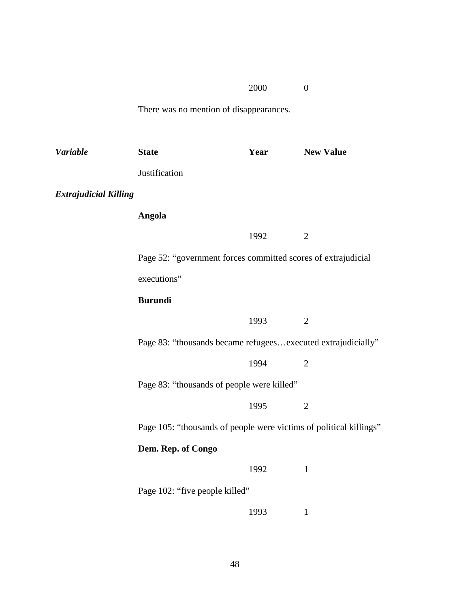# 2000 0

| <b>Variable</b>              | <b>State</b>                                                       | Year | <b>New Value</b> |
|------------------------------|--------------------------------------------------------------------|------|------------------|
|                              | Justification                                                      |      |                  |
| <b>Extrajudicial Killing</b> |                                                                    |      |                  |
|                              | <b>Angola</b>                                                      |      |                  |
|                              |                                                                    | 1992 | $\overline{2}$   |
|                              | Page 52: "government forces committed scores of extrajudicial      |      |                  |
|                              | executions"                                                        |      |                  |
|                              | <b>Burundi</b>                                                     |      |                  |
|                              |                                                                    | 1993 | $\overline{2}$   |
|                              | Page 83: "thousands became refugeesexecuted extrajudicially"       |      |                  |
|                              |                                                                    | 1994 | $\overline{2}$   |
|                              | Page 83: "thousands of people were killed"                         |      |                  |
|                              |                                                                    | 1995 | $\overline{2}$   |
|                              | Page 105: "thousands of people were victims of political killings" |      |                  |
|                              | Dem. Rep. of Congo                                                 |      |                  |
|                              |                                                                    | 1992 | $\mathbf{1}$     |
|                              | Page 102: "five people killed"                                     |      |                  |
|                              |                                                                    | 1993 | $\mathbf{1}$     |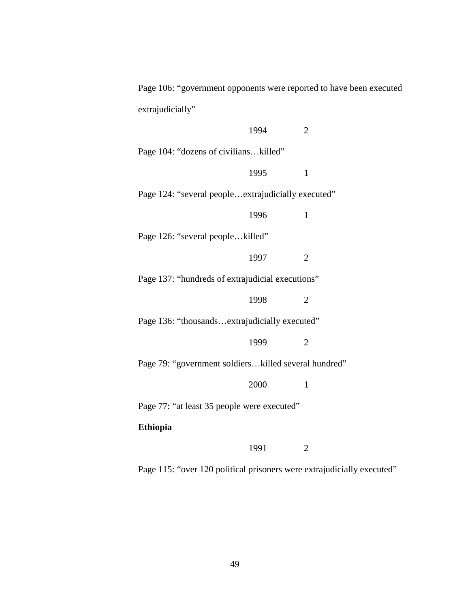Page 106: "government opponents were reported to have been executed extrajudicially"

|                                                      | 1994 | $\overline{2}$ |
|------------------------------------------------------|------|----------------|
| Page 104: "dozens of civilianskilled"                |      |                |
|                                                      | 1995 | $\mathbf{1}$   |
| Page 124: "several people extrajudicially executed"  |      |                |
|                                                      | 1996 | $\mathbf{1}$   |
| Page 126: "several peoplekilled"                     |      |                |
|                                                      | 1997 | $\overline{2}$ |
| Page 137: "hundreds of extrajudicial executions"     |      |                |
|                                                      | 1998 | $\overline{2}$ |
| Page 136: "thousandsextrajudicially executed"        |      |                |
|                                                      | 1999 | $\overline{2}$ |
| Page 79: "government soldierskilled several hundred" |      |                |
|                                                      | 2000 | 1              |
| Page 77: "at least 35 people were executed"          |      |                |
| <b>Ethiopia</b>                                      |      |                |
|                                                      | 1991 | 2              |

Page 115: "over 120 political prisoners were extrajudicially executed"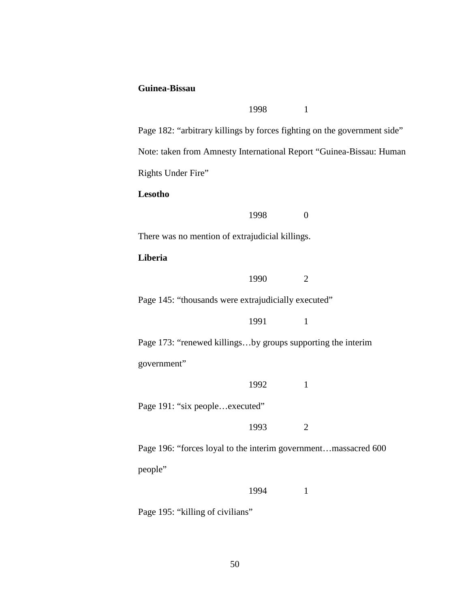### **Guinea-Bissau**

1998 1 Page 182: "arbitrary killings by forces fighting on the government side" Note: taken from Amnesty International Report "Guinea-Bissau: Human Rights Under Fire" **Lesotho** 1998 0 There was no mention of extrajudicial killings. **Liberia** 1990 2 Page 145: "thousands were extrajudicially executed" 1991 1 Page 173: "renewed killings...by groups supporting the interim government" 1992 1 Page 191: "six people...executed" 1993 2 Page 196: "forces loyal to the interim government…massacred 600 people" 1994 1

Page 195: "killing of civilians"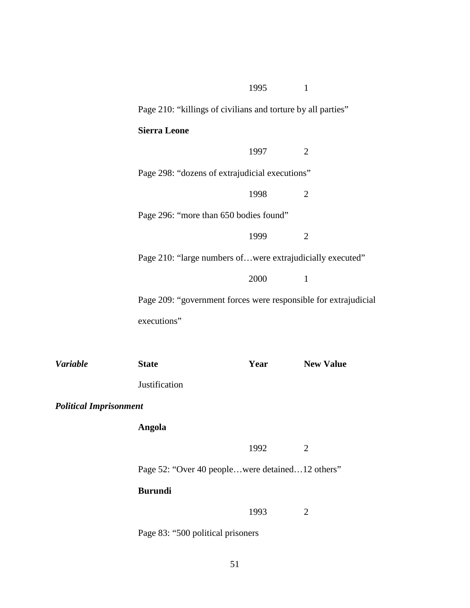|                               |                                                                 | 1995 | $\mathbf{1}$     |
|-------------------------------|-----------------------------------------------------------------|------|------------------|
|                               | Page 210: "killings of civilians and torture by all parties"    |      |                  |
|                               | <b>Sierra Leone</b>                                             |      |                  |
|                               |                                                                 | 1997 | 2                |
|                               | Page 298: "dozens of extrajudicial executions"                  |      |                  |
|                               |                                                                 | 1998 | $\overline{2}$   |
|                               | Page 296: "more than 650 bodies found"                          |      |                  |
|                               |                                                                 | 1999 | $\overline{2}$   |
|                               | Page 210: "large numbers ofwere extrajudicially executed"       |      |                  |
|                               |                                                                 | 2000 | $\mathbf{1}$     |
|                               | Page 209: "government forces were responsible for extrajudicial |      |                  |
|                               | executions"                                                     |      |                  |
|                               |                                                                 |      |                  |
| <b>Variable</b>               | <b>State</b>                                                    | Year | <b>New Value</b> |
|                               | Justification                                                   |      |                  |
| <b>Political Imprisonment</b> |                                                                 |      |                  |
|                               | <b>Angola</b>                                                   |      |                  |
|                               |                                                                 | 1992 | $\overline{2}$   |
|                               | Page 52: "Over 40 peoplewere detained12 others"                 |      |                  |
|                               | <b>Burundi</b>                                                  |      |                  |
|                               |                                                                 | 1993 | $\overline{2}$   |
|                               | Page 83: "500 political prisoners                               |      |                  |
|                               |                                                                 |      |                  |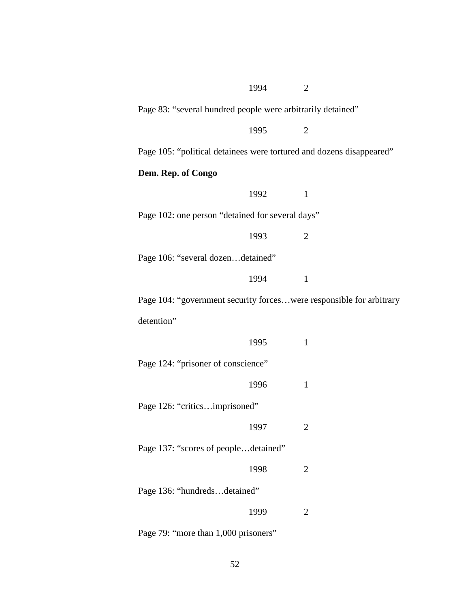| 1994<br>$\overline{2}$                                               |
|----------------------------------------------------------------------|
| Page 83: "several hundred people were arbitrarily detained"          |
| 1995<br>$\overline{2}$                                               |
| Page 105: "political detainees were tortured and dozens disappeared" |
| Dem. Rep. of Congo                                                   |
| 1992<br>$\mathbf{1}$                                                 |
| Page 102: one person "detained for several days"                     |
| 1993<br>$\overline{2}$                                               |
| Page 106: "several dozendetained"                                    |
| 1994<br>$\mathbf{1}$                                                 |
| Page 104: "government security forceswere responsible for arbitrary  |
| detention"                                                           |
| 1995<br>$\mathbf{1}$                                                 |
| Page 124: "prisoner of conscience"                                   |
| 1996<br>$\mathbf{1}$                                                 |
| Page 126: "criticsimprisoned"                                        |
| 1997<br>$\mathbf{2}$                                                 |
| Page 137: "scores of peopledetained"                                 |
| 1998<br>$\overline{2}$                                               |
| Page 136: "hundredsdetained"                                         |
| 1999<br>$\overline{2}$                                               |
| Page 79: "more than 1,000 prisoners"                                 |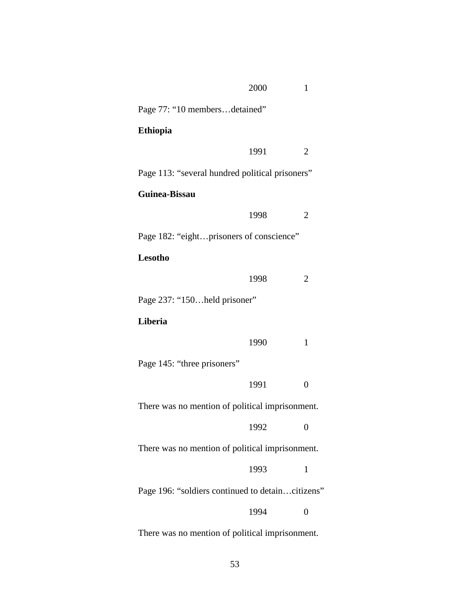|                                                  | 2000 | 1              |
|--------------------------------------------------|------|----------------|
| Page 77: "10 membersdetained"                    |      |                |
| <b>Ethiopia</b>                                  |      |                |
|                                                  | 1991 | 2              |
| Page 113: "several hundred political prisoners"  |      |                |
| <b>Guinea-Bissau</b>                             |      |                |
|                                                  | 1998 | 2              |
| Page 182: "eightprisoners of conscience"         |      |                |
| Lesotho                                          |      |                |
|                                                  | 1998 | 2              |
| Page 237: "150held prisoner"                     |      |                |
| Liberia                                          |      |                |
|                                                  | 1990 | 1              |
| Page 145: "three prisoners"                      |      |                |
|                                                  | 1991 | $\overline{0}$ |
| There was no mention of political imprisonment.  |      |                |
|                                                  | 1992 |                |
| There was no mention of political imprisonment.  |      |                |
|                                                  | 1993 | 1              |
| Page 196: "soldiers continued to detaincitizens" |      |                |
|                                                  | 1994 | 0              |
| There was no mention of political imprisonment.  |      |                |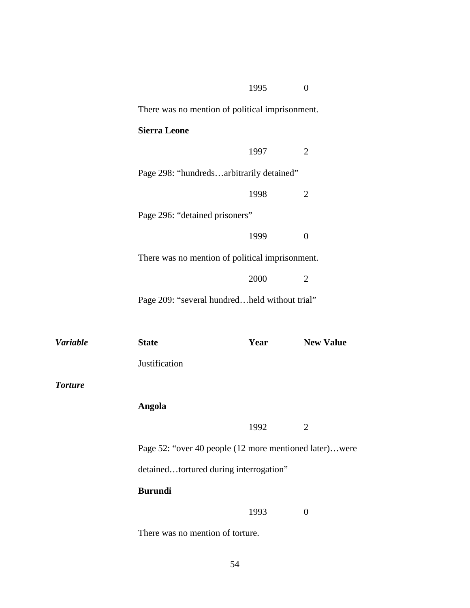|                 |                                                        | 1995 | $\boldsymbol{0}$ |
|-----------------|--------------------------------------------------------|------|------------------|
|                 | There was no mention of political imprisonment.        |      |                  |
|                 | <b>Sierra Leone</b>                                    |      |                  |
|                 |                                                        | 1997 | $\overline{2}$   |
|                 | Page 298: "hundredsarbitrarily detained"               |      |                  |
|                 |                                                        | 1998 | $\overline{2}$   |
|                 | Page 296: "detained prisoners"                         |      |                  |
|                 |                                                        | 1999 | $\boldsymbol{0}$ |
|                 | There was no mention of political imprisonment.        |      |                  |
|                 |                                                        | 2000 | $\overline{2}$   |
|                 | Page 209: "several hundredheld without trial"          |      |                  |
|                 |                                                        |      |                  |
| <b>Variable</b> | <b>State</b>                                           | Year | <b>New Value</b> |
|                 | Justification                                          |      |                  |
| <b>Torture</b>  |                                                        |      |                  |
|                 | Angola                                                 |      |                  |
|                 |                                                        | 1992 | $\overline{2}$   |
|                 | Page 52: "over 40 people (12 more mentioned later)were |      |                  |
|                 | detainedtortured during interrogation"                 |      |                  |
|                 | <b>Burundi</b>                                         |      |                  |
|                 |                                                        | 1993 | $\boldsymbol{0}$ |

There was no mention of torture.

*Torture*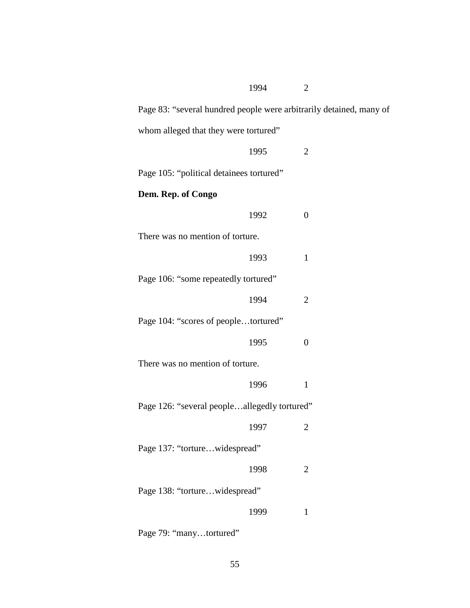| 1994<br>$\overline{2}$                                              |
|---------------------------------------------------------------------|
| Page 83: "several hundred people were arbitrarily detained, many of |
| whom alleged that they were tortured"                               |
| 1995<br>$\overline{2}$                                              |
| Page 105: "political detainees tortured"                            |
| Dem. Rep. of Congo                                                  |
| 1992<br>$\overline{0}$                                              |
| There was no mention of torture.                                    |
| 1993<br>$\mathbf{1}$                                                |
| Page 106: "some repeatedly tortured"                                |
| 1994<br>$\overline{2}$                                              |
| Page 104: "scores of peopletortured"                                |
| $\overline{0}$<br>1995                                              |
| There was no mention of torture.                                    |
| 1996<br>$\mathbf{1}$                                                |
| Page 126: "several peopleallegedly tortured"                        |
| 1997<br>$\overline{c}$                                              |
| Page 137: "torturewidespread"                                       |
| 1998<br>$\overline{c}$                                              |
| Page 138: "torturewidespread"                                       |
| 1999<br>$\mathbf{1}$                                                |
|                                                                     |

Page 79: "many...tortured"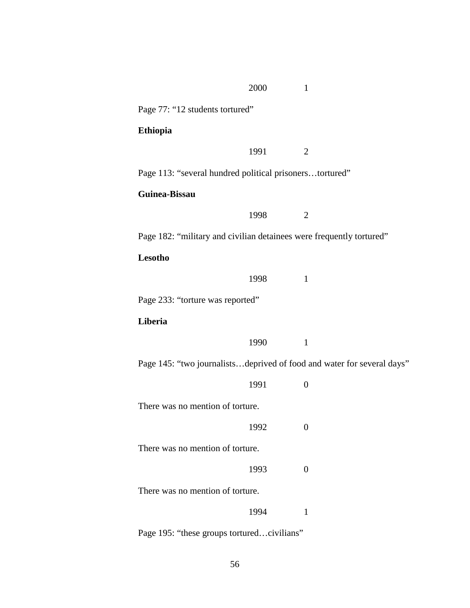|                                                                        | 2000 | $\mathbf{1}$     |  |
|------------------------------------------------------------------------|------|------------------|--|
| Page 77: "12 students tortured"                                        |      |                  |  |
| <b>Ethiopia</b>                                                        |      |                  |  |
|                                                                        | 1991 | 2                |  |
| Page 113: "several hundred political prisonerstortured"                |      |                  |  |
| Guinea-Bissau                                                          |      |                  |  |
|                                                                        | 1998 | $\overline{2}$   |  |
| Page 182: "military and civilian detainees were frequently tortured"   |      |                  |  |
| Lesotho                                                                |      |                  |  |
|                                                                        | 1998 | $\mathbf{1}$     |  |
| Page 233: "torture was reported"                                       |      |                  |  |
| Liberia                                                                |      |                  |  |
|                                                                        | 1990 | $\mathbf{1}$     |  |
| Page 145: "two journalistsdeprived of food and water for several days" |      |                  |  |
|                                                                        | 1991 | $\overline{0}$   |  |
| There was no mention of torture.                                       |      |                  |  |
|                                                                        | 1992 | $\boldsymbol{0}$ |  |
| There was no mention of torture.                                       |      |                  |  |
|                                                                        | 1993 | $\overline{0}$   |  |
| There was no mention of torture.                                       |      |                  |  |
|                                                                        | 1994 | $\mathbf{1}$     |  |
| Page 195: "these groups torturedcivilians"                             |      |                  |  |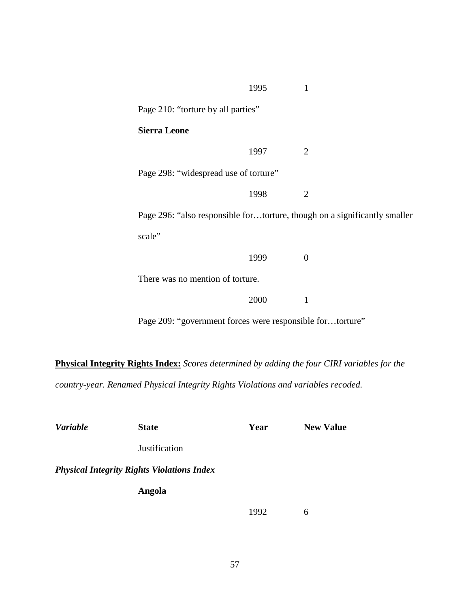|                                                           | 1995 | 1                                                                         |  |  |
|-----------------------------------------------------------|------|---------------------------------------------------------------------------|--|--|
| Page 210: "torture by all parties"                        |      |                                                                           |  |  |
| <b>Sierra Leone</b>                                       |      |                                                                           |  |  |
|                                                           | 1997 | 2                                                                         |  |  |
| Page 298: "widespread use of torture"                     |      |                                                                           |  |  |
|                                                           | 1998 | $\overline{2}$                                                            |  |  |
|                                                           |      | Page 296: "also responsible fortorture, though on a significantly smaller |  |  |
| scale"                                                    |      |                                                                           |  |  |
|                                                           | 1999 | $\Omega$                                                                  |  |  |
| There was no mention of torture.                          |      |                                                                           |  |  |
|                                                           | 2000 | 1                                                                         |  |  |
| Page 209: "government forces were responsible fortorture" |      |                                                                           |  |  |

**Physical Integrity Rights Index:** *Scores determined by adding the four CIRI variables for the country-year. Renamed Physical Integrity Rights Violations and variables recoded.*

| <b>Variable</b> | <b>State</b>                                      | Year | <b>New Value</b> |
|-----------------|---------------------------------------------------|------|------------------|
|                 | <b>Justification</b>                              |      |                  |
|                 | <b>Physical Integrity Rights Violations Index</b> |      |                  |
|                 | Angola                                            |      |                  |
|                 |                                                   | 1992 | 6                |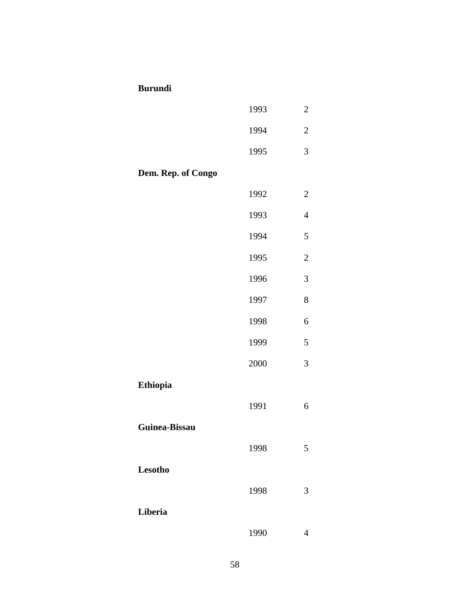## **Burundi**

|                    | 1993 | $\overline{c}$ |
|--------------------|------|----------------|
|                    | 1994 | $\overline{c}$ |
|                    | 1995 | 3              |
| Dem. Rep. of Congo |      |                |
|                    | 1992 | $\overline{2}$ |
|                    | 1993 | $\overline{4}$ |
|                    | 1994 | 5              |
|                    | 1995 | $\overline{2}$ |
|                    | 1996 | 3              |
|                    | 1997 | 8              |
|                    | 1998 | 6              |
|                    | 1999 | 5              |
|                    | 2000 | 3              |
| Ethiopia           |      |                |
|                    | 1991 | 6              |
| Guinea-Bissau      |      |                |
|                    | 1998 | 5              |
| <b>Lesotho</b>     |      |                |
|                    | 1998 | 3              |
| Liberia            |      |                |
|                    | 1990 | $\overline{4}$ |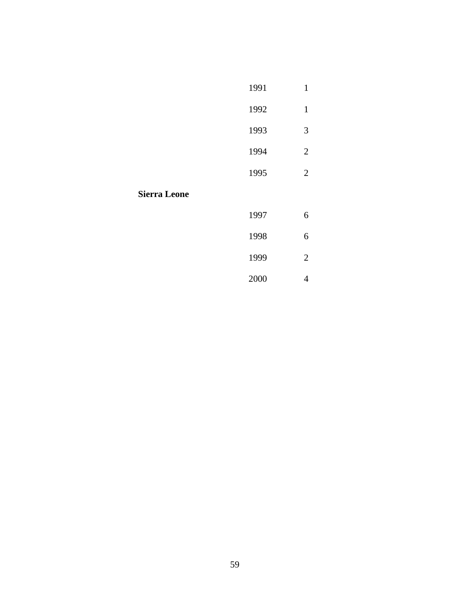|                     | 1991 | $\mathbf{1}$   |
|---------------------|------|----------------|
|                     | 1992 | $\mathbf{1}$   |
|                     | 1993 | 3              |
|                     | 1994 | $\overline{2}$ |
|                     | 1995 | $\overline{2}$ |
| <b>Sierra Leone</b> |      |                |
|                     | 1997 | 6              |
|                     | 1998 | 6              |
|                     | 1999 | $\overline{2}$ |
|                     |      |                |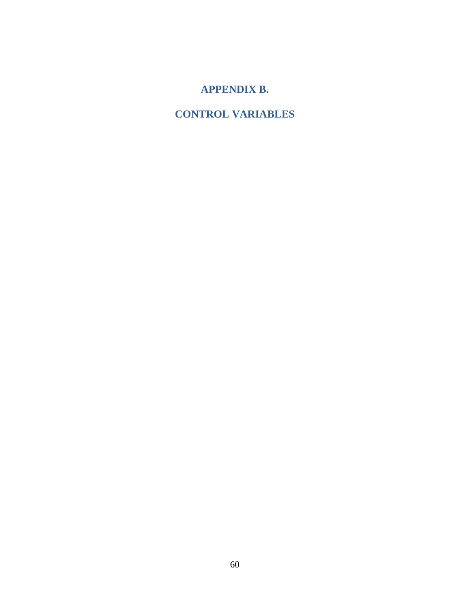# **APPENDIX B.**

# **CONTROL VARIABLES**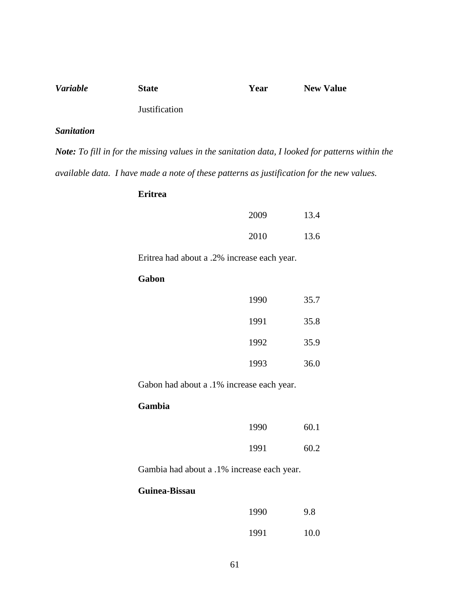| <b>Variable</b> | <b>State</b>         | Year | <b>New Value</b> |
|-----------------|----------------------|------|------------------|
|                 | <b>Justification</b> |      |                  |

### *Sanitation*

*Note: To fill in for the missing values in the sanitation data, I looked for patterns within the available data. I have made a note of these patterns as justification for the new values.*

## **Eritrea**

| 2009 | 13.4 |
|------|------|
| 2010 | 13.6 |

Eritrea had about a .2% increase each year.

## **Gabon**

| 1990 | 35.7 |
|------|------|
| 1991 | 35.8 |
| 1992 | 35.9 |
| 1993 | 36.0 |

Gabon had about a .1% increase each year.

## **Gambia**

| 1990 | 60.1 |
|------|------|
| 1991 | 60.2 |

Gambia had about a .1% increase each year.

## **Guinea-Bissau**

| 1990 | 9.8  |
|------|------|
| 1991 | 10.0 |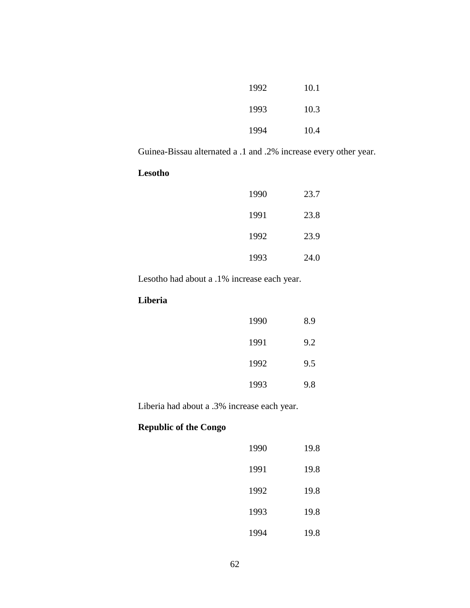| 1992 | 10.1 |
|------|------|
| 1993 | 10.3 |
| 1994 | 10.4 |

Guinea-Bissau alternated a .1 and .2% increase every other year.

## **Lesotho**

| 1990 | 23.7 |
|------|------|
| 1991 | 23.8 |
| 1992 | 23.9 |
| 1993 | 24.0 |

Lesotho had about a .1% increase each year.

## **Liberia**

| 1990 | 8.9 |
|------|-----|
| 1991 | 9.2 |
| 1992 | 9.5 |
| 1993 | 9.8 |

Liberia had about a .3% increase each year.

# **Republic of the Congo**

| 1990 | 19.8 |
|------|------|
| 1991 | 19.8 |
| 1992 | 19.8 |
| 1993 | 19.8 |
| 1994 | 19.8 |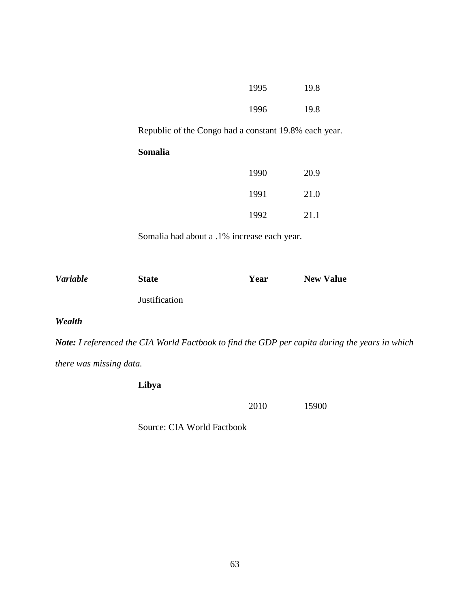| 1995 | 19.8 |
|------|------|
| 1996 | 19.8 |

Republic of the Congo had a constant 19.8% each year.

## **Somalia**

| 1990 | 20.9 |
|------|------|
| 1991 | 21.0 |
| 1992 | 21.1 |

Somalia had about a .1% increase each year.

| <i>Variable</i> | <b>State</b>         | Year | <b>New Value</b> |
|-----------------|----------------------|------|------------------|
|                 | <b>Justification</b> |      |                  |

*Wealth*

*Note: I referenced the CIA World Factbook to find the GDP per capita during the years in which there was missing data.*

**Libya**

2010 15900

Source: CIA World Factbook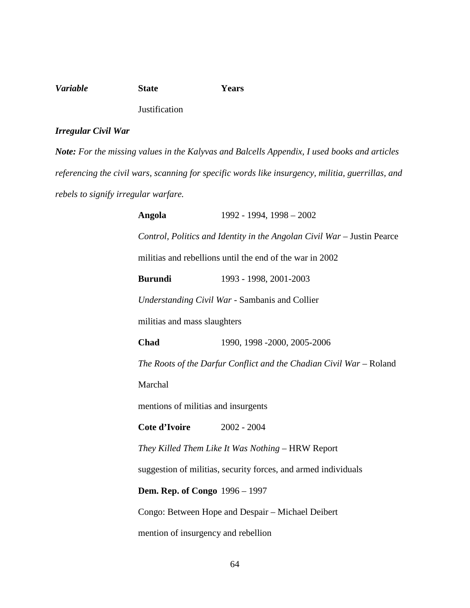## *Variable* **State Years Justification**

## *Irregular Civil War*

*Note: For the missing values in the Kalyvas and Balcells Appendix, I used books and articles referencing the civil wars, scanning for specific words like insurgency, militia, guerrillas, and rebels to signify irregular warfare.*

> **Angola** 1992 - 1994, 1998 – 2002 *Control, Politics and Identity in the Angolan Civil War* – Justin Pearce militias and rebellions until the end of the war in 2002 **Burundi** 1993 - 1998, 2001-2003 *Understanding Civil War* - Sambanis and Collier militias and mass slaughters **Chad** 1990, 1998 -2000, 2005-2006 *The Roots of the Darfur Conflict and the Chadian Civil War –* Roland Marchal mentions of militias and insurgents **Cote d'Ivoire** 2002 - 2004 *They Killed Them Like It Was Nothing* – HRW Report suggestion of militias, security forces, and armed individuals **Dem. Rep. of Congo** 1996 – 1997 Congo: Between Hope and Despair – Michael Deibert mention of insurgency and rebellion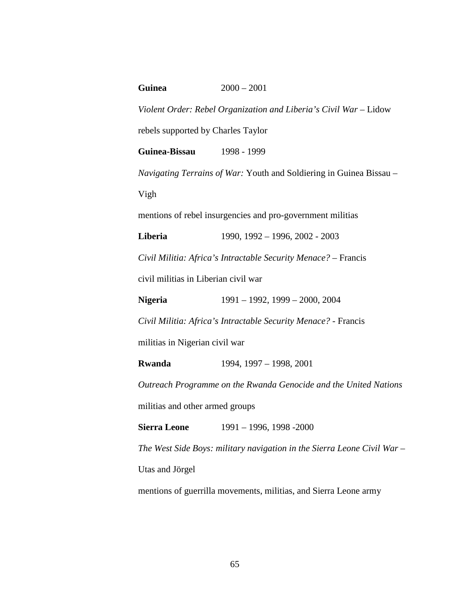## **Guinea** 2000 – 2001

*Violent Order: Rebel Organization and Liberia's Civil War* – Lidow rebels supported by Charles Taylor

**Guinea-Bissau** 1998 - 1999

*Navigating Terrains of War:* Youth and Soldiering in Guinea Bissau – Vigh

mentions of rebel insurgencies and pro-government militias

**Liberia** 1990, 1992 – 1996, 2002 - 2003

*Civil Militia: Africa's Intractable Security Menace?* – Francis

civil militias in Liberian civil war

**Nigeria** 1991 – 1992, 1999 – 2000, 2004

*Civil Militia: Africa's Intractable Security Menace?* - Francis

militias in Nigerian civil war

**Rwanda** 1994, 1997 – 1998, 2001

*Outreach Programme on the Rwanda Genocide and the United Nations* militias and other armed groups

**Sierra Leone** 1991 – 1996, 1998 - 2000

*The West Side Boys: military navigation in the Sierra Leone Civil War* –

Utas and Jörgel

mentions of guerrilla movements, militias, and Sierra Leone army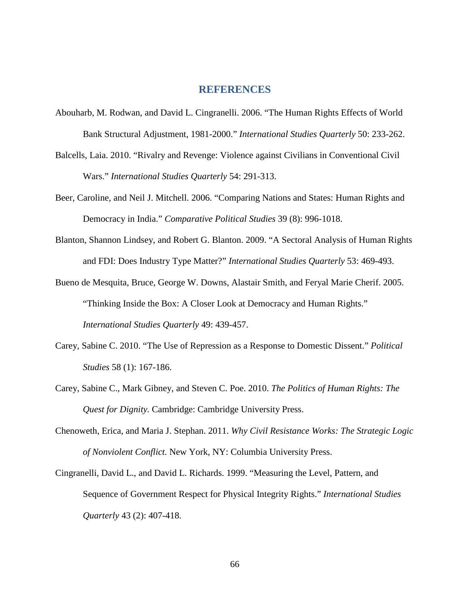## **REFERENCES**

- Abouharb, M. Rodwan, and David L. Cingranelli. 2006. "The Human Rights Effects of World Bank Structural Adjustment, 1981-2000." *International Studies Quarterly* 50: 233-262.
- Balcells, Laia. 2010. "Rivalry and Revenge: Violence against Civilians in Conventional Civil Wars." *International Studies Quarterly* 54: 291-313.
- Beer, Caroline, and Neil J. Mitchell. 2006. "Comparing Nations and States: Human Rights and Democracy in India." *Comparative Political Studies* 39 (8): 996-1018.
- Blanton, Shannon Lindsey, and Robert G. Blanton. 2009. "A Sectoral Analysis of Human Rights and FDI: Does Industry Type Matter?" *International Studies Quarterly* 53: 469-493.
- Bueno de Mesquita, Bruce, George W. Downs, Alastair Smith, and Feryal Marie Cherif. 2005. "Thinking Inside the Box: A Closer Look at Democracy and Human Rights." *International Studies Quarterly* 49: 439-457.
- Carey, Sabine C. 2010. "The Use of Repression as a Response to Domestic Dissent." *Political Studies* 58 (1): 167-186.
- Carey, Sabine C., Mark Gibney, and Steven C. Poe. 2010. *The Politics of Human Rights: The Quest for Dignity.* Cambridge: Cambridge University Press.
- Chenoweth, Erica, and Maria J. Stephan. 2011. *Why Civil Resistance Works: The Strategic Logic of Nonviolent Conflict.* New York, NY: Columbia University Press.
- Cingranelli, David L., and David L. Richards. 1999. "Measuring the Level, Pattern, and Sequence of Government Respect for Physical Integrity Rights." *International Studies Quarterly* 43 (2): 407-418.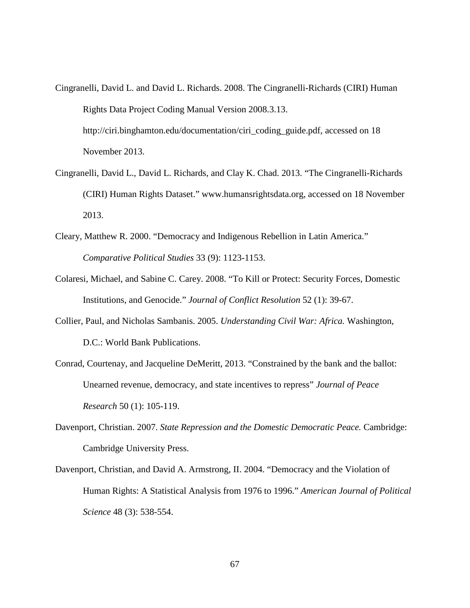Cingranelli, David L. and David L. Richards. 2008. The Cingranelli-Richards (CIRI) Human Rights Data Project Coding Manual Version 2008.3.13. http://ciri.binghamton.edu/documentation/ciri\_coding\_guide.pdf, accessed on 18

November 2013.

- Cingranelli, David L., David L. Richards, and Clay K. Chad. 2013. "The Cingranelli-Richards (CIRI) Human Rights Dataset." www.humansrightsdata.org, accessed on 18 November 2013.
- Cleary, Matthew R. 2000. "Democracy and Indigenous Rebellion in Latin America." *Comparative Political Studies* 33 (9): 1123-1153.
- Colaresi, Michael, and Sabine C. Carey. 2008. "To Kill or Protect: Security Forces, Domestic Institutions, and Genocide." *Journal of Conflict Resolution* 52 (1): 39-67.
- Collier, Paul, and Nicholas Sambanis. 2005. *Understanding Civil War: Africa.* Washington, D.C.: World Bank Publications.
- Conrad, Courtenay, and Jacqueline DeMeritt, 2013. "Constrained by the bank and the ballot: Unearned revenue, democracy, and state incentives to repress" *Journal of Peace Research* 50 (1): 105-119.
- Davenport, Christian. 2007. *State Repression and the Domestic Democratic Peace.* Cambridge: Cambridge University Press.
- Davenport, Christian, and David A. Armstrong, II. 2004. "Democracy and the Violation of Human Rights: A Statistical Analysis from 1976 to 1996." *American Journal of Political Science* 48 (3): 538-554.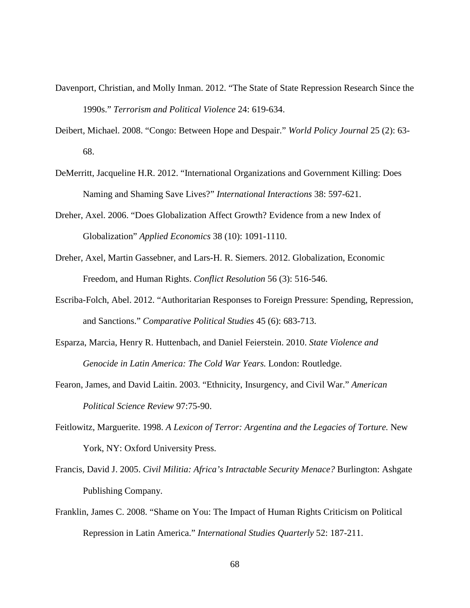- Davenport, Christian, and Molly Inman. 2012. "The State of State Repression Research Since the 1990s." *Terrorism and Political Violence* 24: 619-634.
- Deibert, Michael. 2008. "Congo: Between Hope and Despair." *World Policy Journal* 25 (2): 63- 68.
- DeMerritt, Jacqueline H.R. 2012. "International Organizations and Government Killing: Does Naming and Shaming Save Lives?" *International Interactions* 38: 597-621.
- Dreher, Axel. 2006. "Does Globalization Affect Growth? Evidence from a new Index of Globalization" *Applied Economics* 38 (10): 1091-1110.
- Dreher, Axel, Martin Gassebner, and Lars-H. R. Siemers. 2012. Globalization, Economic Freedom, and Human Rights. *Conflict Resolution* 56 (3): 516-546.
- Escriba-Folch, Abel. 2012. "Authoritarian Responses to Foreign Pressure: Spending, Repression, and Sanctions." *Comparative Political Studies* 45 (6): 683-713.
- Esparza, Marcia, Henry R. Huttenbach, and Daniel Feierstein. 2010. *State Violence and Genocide in Latin America: The Cold War Years.* London: Routledge.
- Fearon, James, and David Laitin. 2003. "Ethnicity, Insurgency, and Civil War." *American Political Science Review* 97:75-90.
- Feitlowitz, Marguerite. 1998. *A Lexicon of Terror: Argentina and the Legacies of Torture.* New York, NY: Oxford University Press.
- Francis, David J. 2005. *Civil Militia: Africa's Intractable Security Menace?* Burlington: Ashgate Publishing Company.
- Franklin, James C. 2008. "Shame on You: The Impact of Human Rights Criticism on Political Repression in Latin America." *International Studies Quarterly* 52: 187-211.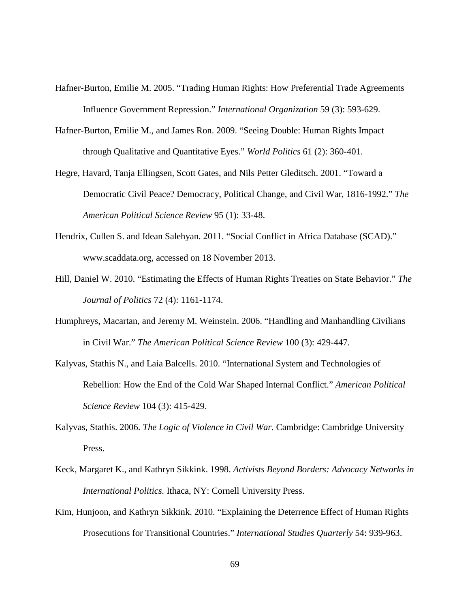- Hafner-Burton, Emilie M. 2005. "Trading Human Rights: How Preferential Trade Agreements Influence Government Repression." *International Organization* 59 (3): 593-629.
- Hafner-Burton, Emilie M., and James Ron. 2009. "Seeing Double: Human Rights Impact through Qualitative and Quantitative Eyes." *World Politics* 61 (2): 360-401.
- Hegre, Havard, Tanja Ellingsen, Scott Gates, and Nils Petter Gleditsch. 2001. "Toward a Democratic Civil Peace? Democracy, Political Change, and Civil War, 1816-1992." *The American Political Science Review* 95 (1): 33-48.
- Hendrix, Cullen S. and Idean Salehyan. 2011. "Social Conflict in Africa Database (SCAD)." www.scaddata.org, accessed on 18 November 2013.
- Hill, Daniel W. 2010. "Estimating the Effects of Human Rights Treaties on State Behavior." *The Journal of Politics* 72 (4): 1161-1174.
- Humphreys, Macartan, and Jeremy M. Weinstein. 2006. "Handling and Manhandling Civilians in Civil War." *The American Political Science Review* 100 (3): 429-447.
- Kalyvas, Stathis N., and Laia Balcells. 2010. "International System and Technologies of Rebellion: How the End of the Cold War Shaped Internal Conflict." *American Political Science Review* 104 (3): 415-429.
- Kalyvas, Stathis. 2006. *The Logic of Violence in Civil War.* Cambridge: Cambridge University Press.
- Keck, Margaret K., and Kathryn Sikkink. 1998. *Activists Beyond Borders: Advocacy Networks in International Politics.* Ithaca, NY: Cornell University Press.
- Kim, Hunjoon, and Kathryn Sikkink. 2010. "Explaining the Deterrence Effect of Human Rights Prosecutions for Transitional Countries." *International Studies Quarterly* 54: 939-963.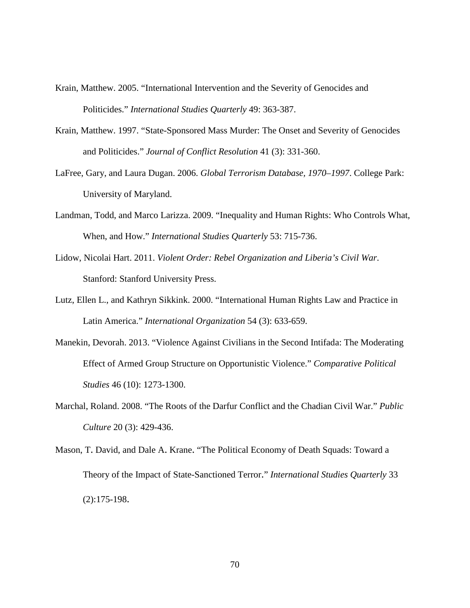- Krain, Matthew. 2005. "International Intervention and the Severity of Genocides and Politicides." *International Studies Quarterly* 49: 363-387.
- Krain, Matthew. 1997. "State-Sponsored Mass Murder: The Onset and Severity of Genocides and Politicides." *Journal of Conflict Resolution* 41 (3): 331-360.
- LaFree, Gary, and Laura Dugan. 2006. *Global Terrorism Database, 1970–1997*. College Park: University of Maryland.
- Landman, Todd, and Marco Larizza. 2009. "Inequality and Human Rights: Who Controls What, When, and How." *International Studies Quarterly* 53: 715-736.
- Lidow, Nicolai Hart. 2011. *Violent Order: Rebel Organization and Liberia's Civil War*. Stanford: Stanford University Press.
- Lutz, Ellen L., and Kathryn Sikkink. 2000. "International Human Rights Law and Practice in Latin America." *International Organization* 54 (3): 633-659.
- Manekin, Devorah. 2013. "Violence Against Civilians in the Second Intifada: The Moderating Effect of Armed Group Structure on Opportunistic Violence." *Comparative Political Studies* 46 (10): 1273-1300.
- Marchal, Roland. 2008. "The Roots of the Darfur Conflict and the Chadian Civil War." *Public Culture* 20 (3): 429-436.
- Mason, T. David, and Dale A. Krane. "The Political Economy of Death Squads: Toward a Theory of the Impact of State-Sanctioned Terror." *International Studies Quarterly* 33 (2):175-198.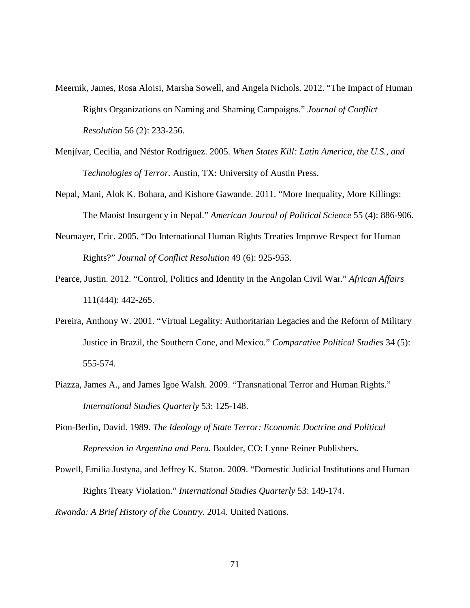- Meernik, James, Rosa Aloisi, Marsha Sowell, and Angela Nichols. 2012. "The Impact of Human Rights Organizations on Naming and Shaming Campaigns." *Journal of Conflict Resolution* 56 (2): 233-256.
- Menjívar, Cecilia, and Néstor Rodríguez. 2005. *When States Kill: Latin America, the U.S., and Technologies of Terror.* Austin, TX: University of Austin Press.
- Nepal, Mani, Alok K. Bohara, and Kishore Gawande. 2011. "More Inequality, More Killings: The Maoist Insurgency in Nepal." *American Journal of Political Science* 55 (4): 886-906.
- Neumayer, Eric. 2005. "Do International Human Rights Treaties Improve Respect for Human Rights?" *Journal of Conflict Resolution* 49 (6): 925-953.
- Pearce, Justin. 2012. "Control, Politics and Identity in the Angolan Civil War." *African Affairs* 111(444): 442-265.
- Pereira, Anthony W. 2001. "Virtual Legality: Authoritarian Legacies and the Reform of Military Justice in Brazil, the Southern Cone, and Mexico." *Comparative Political Studies* 34 (5): 555-574.
- Piazza, James A., and James Igoe Walsh. 2009. "Transnational Terror and Human Rights." *International Studies Quarterly* 53: 125-148.
- Pion-Berlin, David. 1989. *The Ideology of State Terror: Economic Doctrine and Political Repression in Argentina and Peru.* Boulder, CO: Lynne Reiner Publishers.
- Powell, Emilia Justyna, and Jeffrey K. Staton. 2009. "Domestic Judicial Institutions and Human Rights Treaty Violation." *International Studies Quarterly* 53: 149-174.

*Rwanda: A Brief History of the Country.* 2014. United Nations.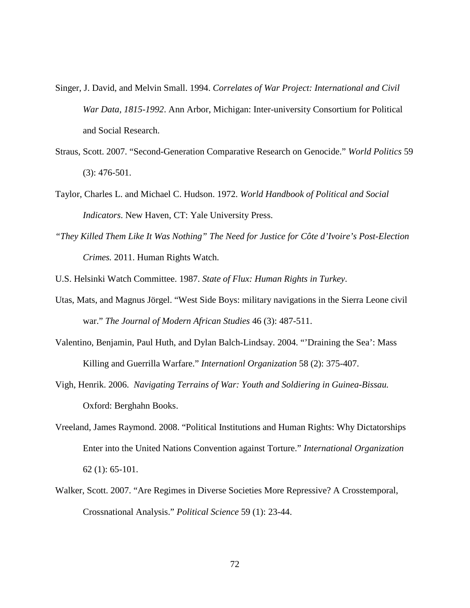- Singer, J. David, and Melvin Small. 1994. *Correlates of War Project: International and Civil War Data, 1815-1992*. Ann Arbor, Michigan: Inter-university Consortium for Political and Social Research.
- Straus, Scott. 2007. "Second-Generation Comparative Research on Genocide." *World Politics* 59 (3): 476-501.
- Taylor, Charles L. and Michael C. Hudson. 1972. *World Handbook of Political and Social Indicators*. New Haven, CT: Yale University Press.
- *"They Killed Them Like It Was Nothing" The Need for Justice for Côte d'Ivoire's Post-Election Crimes.* 2011. Human Rights Watch.
- U.S. Helsinki Watch Committee. 1987. *State of Flux: Human Rights in Turkey*.
- Utas, Mats, and Magnus Jörgel. "West Side Boys: military navigations in the Sierra Leone civil war." *The Journal of Modern African Studies* 46 (3): 487-511.
- Valentino, Benjamin, Paul Huth, and Dylan Balch-Lindsay. 2004. "'Draining the Sea': Mass Killing and Guerrilla Warfare." *Internationl Organization* 58 (2): 375-407.
- Vigh, Henrik. 2006. *Navigating Terrains of War: Youth and Soldiering in Guinea-Bissau.* Oxford: Berghahn Books.
- Vreeland, James Raymond. 2008. "Political Institutions and Human Rights: Why Dictatorships Enter into the United Nations Convention against Torture." *International Organization* 62 (1): 65-101.
- Walker, Scott. 2007. "Are Regimes in Diverse Societies More Repressive? A Crosstemporal, Crossnational Analysis." *Political Science* 59 (1): 23-44.